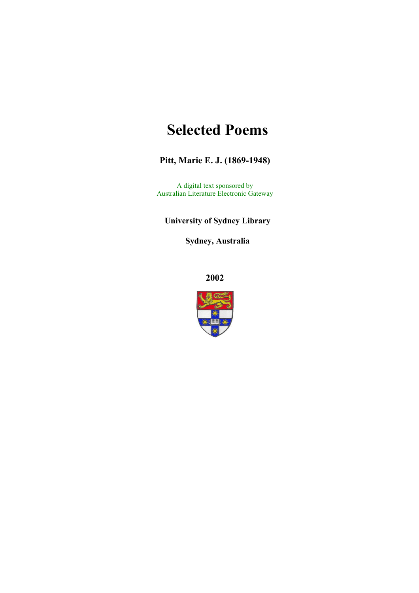# **Selected Poems**

#### **Pitt, Marie E. J. (1869-1948)**

A digital text sponsored by Australian Literature Electronic Gateway

#### **University of Sydney Library**

**Sydney, Australia** 

**2002**

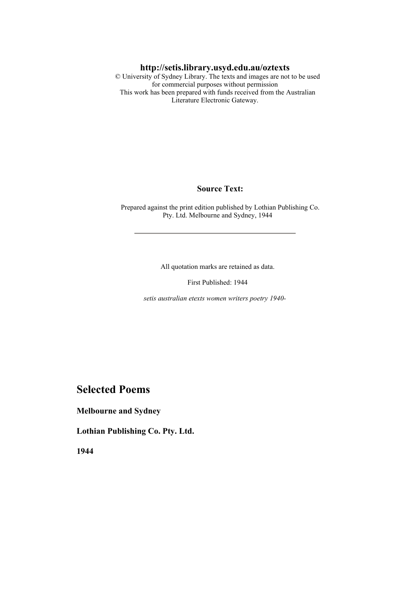#### **http://setis.library.usyd.edu.au/oztexts**

 © University of Sydney Library. The texts and images are not to be used for commercial purposes without permission This work has been prepared with funds received from the Australian Literature Electronic Gateway.

#### **Source Text:**

 Prepared against the print edition published by Lothian Publishing Co. Pty. Ltd. Melbourne and Sydney, 1944

All quotation marks are retained as data.

First Published: 1944

*setis australian etexts women writers poetry 1940-*

#### **Selected Poems**

**Melbourne and Sydney** 

**Lothian Publishing Co. Pty. Ltd.** 

**1944**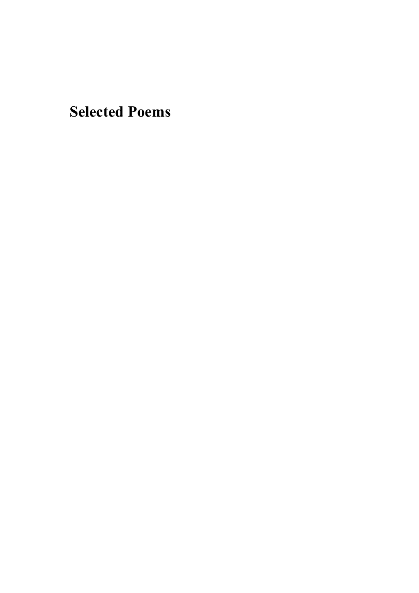**Selected Poems**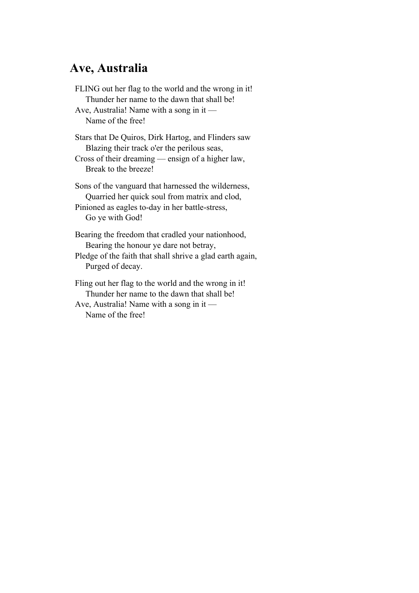## **Ave, Australia**

FLING out her flag to the world and the wrong in it! Thunder her name to the dawn that shall be! Ave, Australia! Name with a song in it — Name of the free! Stars that De Quiros, Dirk Hartog, and Flinders saw Blazing their track o'er the perilous seas, Cross of their dreaming — ensign of a higher law, Break to the breeze! Sons of the vanguard that harnessed the wilderness, Quarried her quick soul from matrix and clod,

Pinioned as eagles to-day in her battle-stress, Go ye with God!

Bearing the freedom that cradled your nationhood, Bearing the honour ye dare not betray, Pledge of the faith that shall shrive a glad earth again, Purged of decay.

Fling out her flag to the world and the wrong in it! Thunder her name to the dawn that shall be! Ave, Australia! Name with a song in it — Name of the free!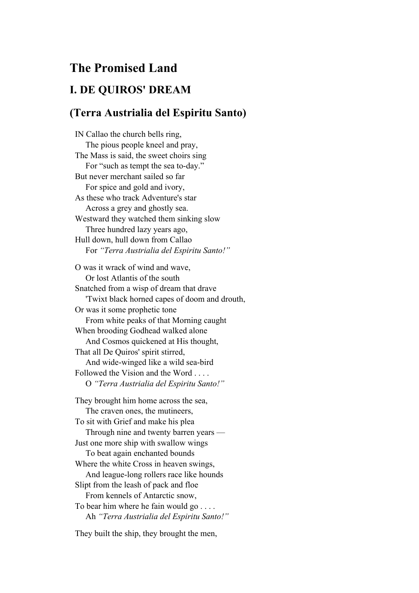## **The Promised Land**

#### **I. DE QUIROS' DREAM**

#### **(Terra Austrialia del Espiritu Santo)**

IN Callao the church bells ring, The pious people kneel and pray, The Mass is said, the sweet choirs sing For "such as tempt the sea to-day." But never merchant sailed so far For spice and gold and ivory, As these who track Adventure's star Across a grey and ghostly sea. Westward they watched them sinking slow Three hundred lazy years ago, Hull down, hull down from Callao For *"Terra Austrialia del Espiritu Santo!"* O was it wrack of wind and wave, Or lost Atlantis of the south Snatched from a wisp of dream that drave 'Twixt black horned capes of doom and drouth, Or was it some prophetic tone From white peaks of that Morning caught When brooding Godhead walked alone And Cosmos quickened at His thought, That all De Quiros' spirit stirred, And wide-winged like a wild sea-bird Followed the Vision and the Word . . . . O *"Terra Austrialia del Espiritu Santo!"* They brought him home across the sea, The craven ones, the mutineers, To sit with Grief and make his plea Through nine and twenty barren years — Just one more ship with swallow wings To beat again enchanted bounds Where the white Cross in heaven swings, And league-long rollers race like hounds Slipt from the leash of pack and floe From kennels of Antarctic snow, To bear him where he fain would go . . . . Ah *"Terra Austrialia del Espiritu Santo!"*

They built the ship, they brought the men,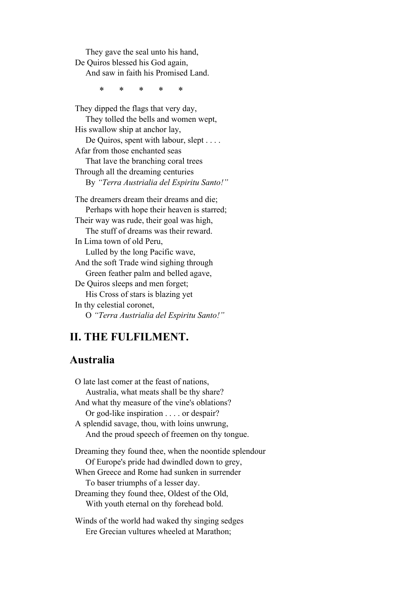They gave the seal unto his hand, De Quiros blessed his God again, And saw in faith his Promised Land.

\* \* \* \* \*

They dipped the flags that very day, They tolled the bells and women wept, His swallow ship at anchor lay, De Quiros, spent with labour, slept . . . . Afar from those enchanted seas That lave the branching coral trees Through all the dreaming centuries By *"Terra Austrialia del Espiritu Santo!"* The dreamers dream their dreams and die; Perhaps with hope their heaven is starred; Their way was rude, their goal was high, The stuff of dreams was their reward. In Lima town of old Peru,

 Lulled by the long Pacific wave, And the soft Trade wind sighing through Green feather palm and belled agave, De Quiros sleeps and men forget; His Cross of stars is blazing yet In thy celestial coronet,

O *"Terra Austrialia del Espiritu Santo!"*

#### **II. THE FULFILMENT.**

#### **Australia**

O late last comer at the feast of nations, Australia, what meats shall be thy share? And what thy measure of the vine's oblations? Or god-like inspiration . . . . or despair? A splendid savage, thou, with loins unwrung, And the proud speech of freemen on thy tongue. Dreaming they found thee, when the noontide splendour Of Europe's pride had dwindled down to grey, When Greece and Rome had sunken in surrender To baser triumphs of a lesser day. Dreaming they found thee, Oldest of the Old, With youth eternal on thy forehead bold.

Winds of the world had waked thy singing sedges Ere Grecian vultures wheeled at Marathon;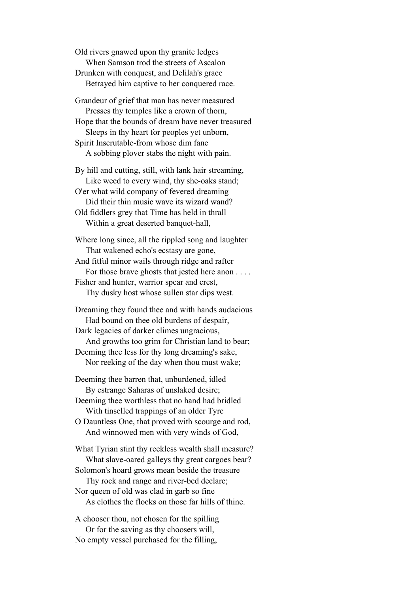Old rivers gnawed upon thy granite ledges When Samson trod the streets of Ascalon Drunken with conquest, and Delilah's grace Betrayed him captive to her conquered race.

Grandeur of grief that man has never measured Presses thy temples like a crown of thorn, Hope that the bounds of dream have never treasured Sleeps in thy heart for peoples yet unborn, Spirit Inscrutable-from whose dim fane A sobbing plover stabs the night with pain.

By hill and cutting, still, with lank hair streaming, Like weed to every wind, thy she-oaks stand; O'er what wild company of fevered dreaming Did their thin music wave its wizard wand? Old fiddlers grey that Time has held in thrall Within a great deserted banquet-hall,

Where long since, all the rippled song and laughter That wakened echo's ecstasy are gone, And fitful minor wails through ridge and rafter For those brave ghosts that jested here anon . . . .

Fisher and hunter, warrior spear and crest, Thy dusky host whose sullen star dips west.

Dreaming they found thee and with hands audacious Had bound on thee old burdens of despair, Dark legacies of darker climes ungracious,

 And growths too grim for Christian land to bear; Deeming thee less for thy long dreaming's sake, Nor reeking of the day when thou must wake;

Deeming thee barren that, unburdened, idled By estrange Saharas of unslaked desire;

Deeming thee worthless that no hand had bridled With tinselled trappings of an older Tyre

O Dauntless One, that proved with scourge and rod, And winnowed men with very winds of God,

What Tyrian stint thy reckless wealth shall measure? What slave-oared galleys thy great cargoes bear? Solomon's hoard grows mean beside the treasure Thy rock and range and river-bed declare; Nor queen of old was clad in garb so fine As clothes the flocks on those far hills of thine.

A chooser thou, not chosen for the spilling Or for the saving as thy choosers will, No empty vessel purchased for the filling,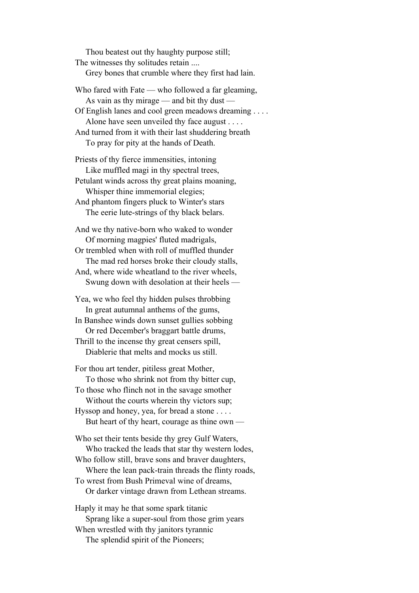Thou beatest out thy haughty purpose still; The witnesses thy solitudes retain .... Grey bones that crumble where they first had lain. Who fared with Fate — who followed a far gleaming, As vain as thy mirage — and bit thy dust — Of English lanes and cool green meadows dreaming . . . . Alone have seen unveiled thy face august . . . . And turned from it with their last shuddering breath To pray for pity at the hands of Death. Priests of thy fierce immensities, intoning Like muffled magi in thy spectral trees, Petulant winds across thy great plains moaning, Whisper thine immemorial elegies; And phantom fingers pluck to Winter's stars The eerie lute-strings of thy black belars. And we thy native-born who waked to wonder Of morning magpies' fluted madrigals, Or trembled when with roll of muffled thunder The mad red horses broke their cloudy stalls, And, where wide wheatland to the river wheels, Swung down with desolation at their heels — Yea, we who feel thy hidden pulses throbbing In great autumnal anthems of the gums, In Banshee winds down sunset gullies sobbing Or red December's braggart battle drums, Thrill to the incense thy great censers spill, Diablerie that melts and mocks us still. For thou art tender, pitiless great Mother, To those who shrink not from thy bitter cup, To those who flinch not in the savage smother Without the courts wherein thy victors sup; Hyssop and honey, yea, for bread a stone . . . . But heart of thy heart, courage as thine own — Who set their tents beside thy grey Gulf Waters, Who tracked the leads that star thy western lodes, Who follow still, brave sons and braver daughters, Where the lean pack-train threads the flinty roads, To wrest from Bush Primeval wine of dreams, Or darker vintage drawn from Lethean streams. Haply it may he that some spark titanic Sprang like a super-soul from those grim years When wrestled with thy janitors tyrannic The splendid spirit of the Pioneers;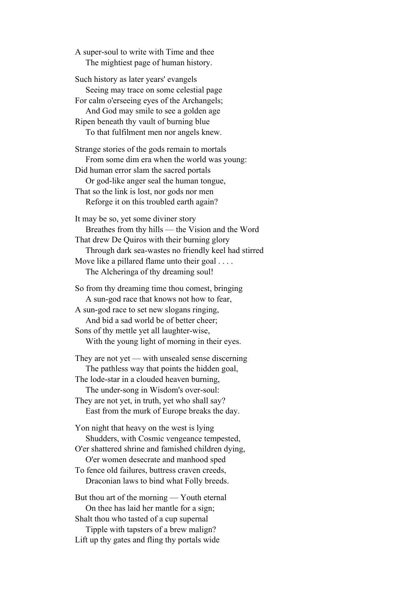A super-soul to write with Time and thee The mightiest page of human history.

Such history as later years' evangels Seeing may trace on some celestial page For calm o'erseeing eyes of the Archangels; And God may smile to see a golden age Ripen beneath thy vault of burning blue To that fulfilment men nor angels knew.

Strange stories of the gods remain to mortals From some dim era when the world was young: Did human error slam the sacred portals Or god-like anger seal the human tongue, That so the link is lost, nor gods nor men

Reforge it on this troubled earth again?

It may be so, yet some diviner story Breathes from thy hills — the Vision and the Word That drew De Quiros with their burning glory Through dark sea-wastes no friendly keel had stirred Move like a pillared flame unto their goal . . . . The Alcheringa of thy dreaming soul!

So from thy dreaming time thou comest, bringing A sun-god race that knows not how to fear, A sun-god race to set new slogans ringing, And bid a sad world be of better cheer; Sons of thy mettle yet all laughter-wise,

With the young light of morning in their eyes.

They are not yet — with unsealed sense discerning The pathless way that points the hidden goal, The lode-star in a clouded heaven burning,

 The under-song in Wisdom's over-soul: They are not yet, in truth, yet who shall say? East from the murk of Europe breaks the day.

Yon night that heavy on the west is lying Shudders, with Cosmic vengeance tempested, O'er shattered shrine and famished children dying,

 O'er women desecrate and manhood sped To fence old failures, buttress craven creeds,

Draconian laws to bind what Folly breeds.

But thou art of the morning — Youth eternal On thee has laid her mantle for a sign; Shalt thou who tasted of a cup supernal Tipple with tapsters of a brew malign? Lift up thy gates and fling thy portals wide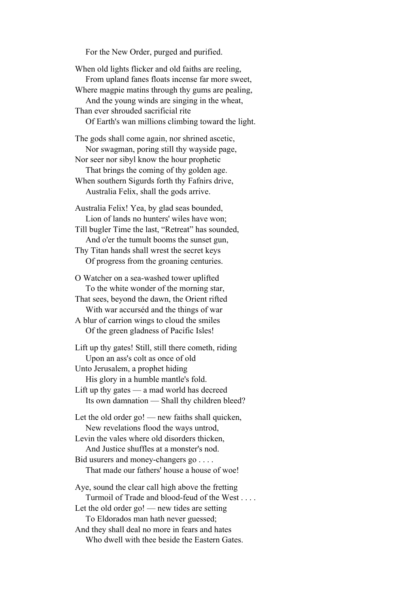For the New Order, purged and purified.

When old lights flicker and old faiths are reeling, From upland fanes floats incense far more sweet, Where magpie matins through thy gums are pealing, And the young winds are singing in the wheat, Than ever shrouded sacrificial rite Of Earth's wan millions climbing toward the light. The gods shall come again, nor shrined ascetic, Nor swagman, poring still thy wayside page, Nor seer nor sibyl know the hour prophetic That brings the coming of thy golden age. When southern Sigurds forth thy Fafnirs drive, Australia Felix, shall the gods arrive. Australia Felix! Yea, by glad seas bounded, Lion of lands no hunters' wiles have won; Till bugler Time the last, "Retreat" has sounded, And o'er the tumult booms the sunset gun, Thy Titan hands shall wrest the secret keys Of progress from the groaning centuries. O Watcher on a sea-washed tower uplifted To the white wonder of the morning star, That sees, beyond the dawn, the Orient rifted With war accurséd and the things of war A blur of carrion wings to cloud the smiles Of the green gladness of Pacific Isles! Lift up thy gates! Still, still there cometh, riding Upon an ass's colt as once of old Unto Jerusalem, a prophet hiding His glory in a humble mantle's fold. Lift up thy gates — a mad world has decreed Its own damnation — Shall thy children bleed? Let the old order go! — new faiths shall quicken, New revelations flood the ways untrod, Levin the vales where old disorders thicken, And Justice shuffles at a monster's nod. Bid usurers and money-changers go . . . . That made our fathers' house a house of woe! Aye, sound the clear call high above the fretting Turmoil of Trade and blood-feud of the West . . . . Let the old order go! — new tides are setting To Eldorados man hath never guessed; And they shall deal no more in fears and hates Who dwell with thee beside the Eastern Gates.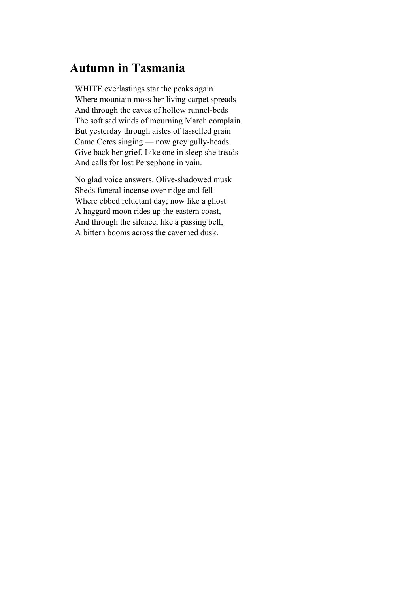## **Autumn in Tasmania**

WHITE everlastings star the peaks again Where mountain moss her living carpet spreads And through the eaves of hollow runnel-beds The soft sad winds of mourning March complain. But yesterday through aisles of tasselled grain Came Ceres singing — now grey gully-heads Give back her grief. Like one in sleep she treads And calls for lost Persephone in vain.

No glad voice answers. Olive-shadowed musk Sheds funeral incense over ridge and fell Where ebbed reluctant day; now like a ghost A haggard moon rides up the eastern coast, And through the silence, like a passing bell, A bittern booms across the caverned dusk.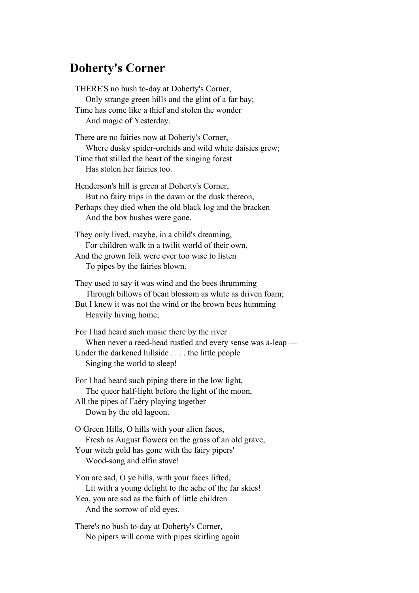## **Doherty's Corner**

THERE'S no bush to-day at Doherty's Corner, Only strange green hills and the glint of a far bay; Time has come like a thief and stolen the wonder And magic of Yesterday. There are no fairies now at Doherty's Corner, Where dusky spider-orchids and wild white daisies grew; Time that stilled the heart of the singing forest Has stolen her fairies too. Henderson's hill is green at Doherty's Corner, But no fairy trips in the dawn or the dusk thereon, Perhaps they died when the old black log and the bracken And the box bushes were gone. They only lived, maybe, in a child's dreaming, For children walk in a twilit world of their own, And the grown folk were ever too wise to listen To pipes by the fairies blown. They used to say it was wind and the bees thrumming Through billows of bean blossom as white as driven foam; But I knew it was not the wind or the brown bees humming Heavily hiving home; For I had heard such music there by the river When never a reed-head rustled and every sense was a-leap — Under the darkened hillside . . . . the little people Singing the world to sleep! For I had heard such piping there in the low light, The queer half-light before the light of the moon, All the pipes of Faëry playing together Down by the old lagoon. O Green Hills, O hills with your alien faces, Fresh as August flowers on the grass of an old grave, Your witch gold has gone with the fairy pipers' Wood-song and elfin stave! You are sad, O ye hills, with your faces lifted, Lit with a young delight to the ache of the far skies! Yea, you are sad as the faith of little children And the sorrow of old eyes.

There's no bush to-day at Doherty's Corner, No pipers will come with pipes skirling again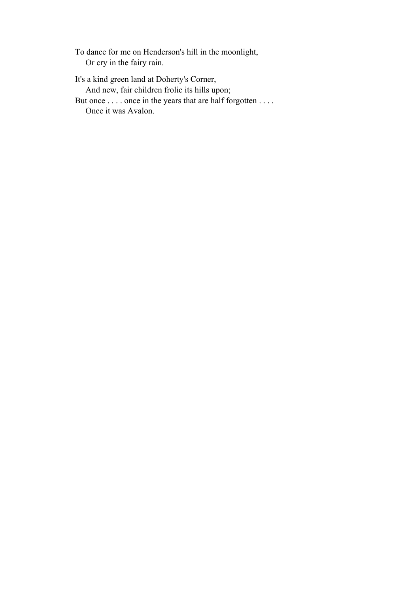To dance for me on Henderson's hill in the moonlight, Or cry in the fairy rain.

It's a kind green land at Doherty's Corner, And new, fair children frolic its hills upon; But once . . . . once in the years that are half forgotten . . . . Once it was Avalon.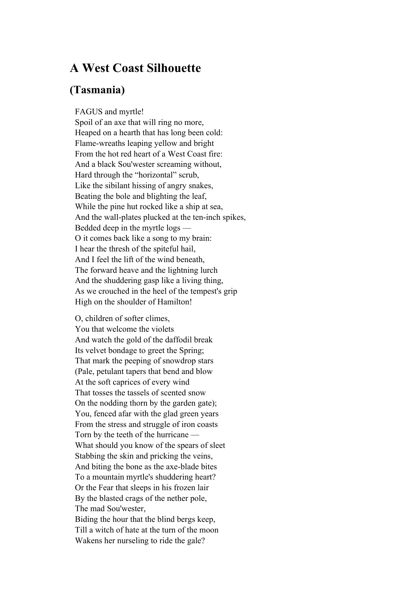### **A West Coast Silhouette**

#### **(Tasmania)**

FAGUS and myrtle!

Spoil of an axe that will ring no more, Heaped on a hearth that has long been cold: Flame-wreaths leaping yellow and bright From the hot red heart of a West Coast fire: And a black Sou'wester screaming without, Hard through the "horizontal" scrub, Like the sibilant hissing of angry snakes, Beating the bole and blighting the leaf, While the pine hut rocked like a ship at sea, And the wall-plates plucked at the ten-inch spikes, Bedded deep in the myrtle logs — O it comes back like a song to my brain: I hear the thresh of the spiteful hail, And I feel the lift of the wind beneath, The forward heave and the lightning lurch And the shuddering gasp like a living thing, As we crouched in the heel of the tempest's grip High on the shoulder of Hamilton!

O, children of softer climes, You that welcome the violets And watch the gold of the daffodil break Its velvet bondage to greet the Spring; That mark the peeping of snowdrop stars (Pale, petulant tapers that bend and blow At the soft caprices of every wind That tosses the tassels of scented snow On the nodding thorn by the garden gate); You, fenced afar with the glad green years From the stress and struggle of iron coasts Torn by the teeth of the hurricane — What should you know of the spears of sleet Stabbing the skin and pricking the veins, And biting the bone as the axe-blade bites To a mountain myrtle's shuddering heart? Or the Fear that sleeps in his frozen lair By the blasted crags of the nether pole, The mad Sou'wester,

Biding the hour that the blind bergs keep, Till a witch of hate at the turn of the moon Wakens her nurseling to ride the gale?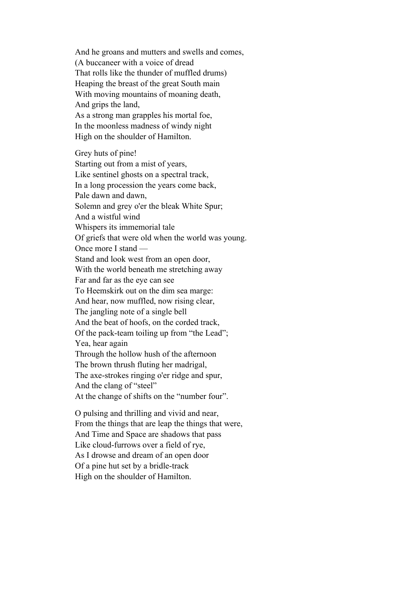And he groans and mutters and swells and comes, (A buccaneer with a voice of dread That rolls like the thunder of muffled drums) Heaping the breast of the great South main With moving mountains of moaning death, And grips the land, As a strong man grapples his mortal foe, In the moonless madness of windy night High on the shoulder of Hamilton.

Grey huts of pine! Starting out from a mist of years, Like sentinel ghosts on a spectral track, In a long procession the years come back, Pale dawn and dawn, Solemn and grey o'er the bleak White Spur; And a wistful wind Whispers its immemorial tale Of griefs that were old when the world was young. Once more I stand — Stand and look west from an open door, With the world beneath me stretching away Far and far as the eye can see To Heemskirk out on the dim sea marge: And hear, now muffled, now rising clear, The jangling note of a single bell And the beat of hoofs, on the corded track, Of the pack-team toiling up from "the Lead"; Yea, hear again Through the hollow hush of the afternoon The brown thrush fluting her madrigal, The axe-strokes ringing o'er ridge and spur, And the clang of "steel" At the change of shifts on the "number four".

O pulsing and thrilling and vivid and near, From the things that are leap the things that were, And Time and Space are shadows that pass Like cloud-furrows over a field of rye, As I drowse and dream of an open door Of a pine hut set by a bridle-track High on the shoulder of Hamilton.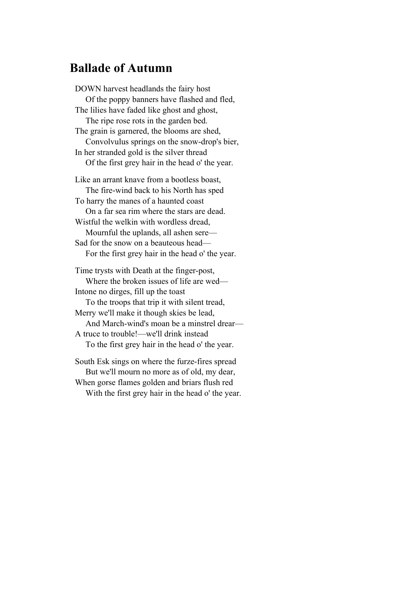## **Ballade of Autumn**

DOWN harvest headlands the fairy host Of the poppy banners have flashed and fled, The lilies have faded like ghost and ghost, The ripe rose rots in the garden bed. The grain is garnered, the blooms are shed, Convolvulus springs on the snow-drop's bier, In her stranded gold is the silver thread Of the first grey hair in the head o' the year. Like an arrant knave from a bootless boast, The fire-wind back to his North has sped To harry the manes of a haunted coast On a far sea rim where the stars are dead. Wistful the welkin with wordless dread, Mournful the uplands, all ashen sere— Sad for the snow on a beauteous head— For the first grey hair in the head o' the year. Time trysts with Death at the finger-post, Where the broken issues of life are wed— Intone no dirges, fill up the toast To the troops that trip it with silent tread, Merry we'll make it though skies be lead, And March-wind's moan be a minstrel drear— A truce to trouble!—we'll drink instead To the first grey hair in the head o' the year.

South Esk sings on where the furze-fires spread But we'll mourn no more as of old, my dear, When gorse flames golden and briars flush red With the first grey hair in the head o' the year.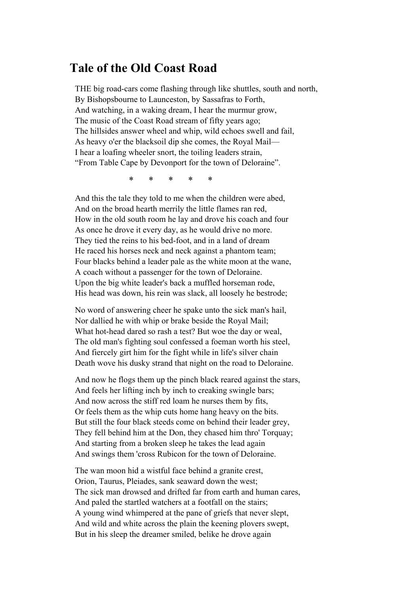#### **Tale of the Old Coast Road**

THE big road-cars come flashing through like shuttles, south and north, By Bishopsbourne to Launceston, by Sassafras to Forth, And watching, in a waking dream, I hear the murmur grow, The music of the Coast Road stream of fifty years ago; The hillsides answer wheel and whip, wild echoes swell and fail, As heavy o'er the blacksoil dip she comes, the Royal Mail— I hear a loafing wheeler snort, the toiling leaders strain, "From Table Cape by Devonport for the town of Deloraine".

\* \* \* \* \*

And this the tale they told to me when the children were abed, And on the broad hearth merrily the little flames ran red, How in the old south room he lay and drove his coach and four As once he drove it every day, as he would drive no more. They tied the reins to his bed-foot, and in a land of dream He raced his horses neck and neck against a phantom team; Four blacks behind a leader pale as the white moon at the wane, A coach without a passenger for the town of Deloraine. Upon the big white leader's back a muffled horseman rode, His head was down, his rein was slack, all loosely he bestrode;

No word of answering cheer he spake unto the sick man's hail, Nor dallied he with whip or brake beside the Royal Mail; What hot-head dared so rash a test? But woe the day or weal, The old man's fighting soul confessed a foeman worth his steel, And fiercely girt him for the fight while in life's silver chain Death wove his dusky strand that night on the road to Deloraine.

And now he flogs them up the pinch black reared against the stars, And feels her lifting inch by inch to creaking swingle bars; And now across the stiff red loam he nurses them by fits, Or feels them as the whip cuts home hang heavy on the bits. But still the four black steeds come on behind their leader grey, They fell behind him at the Don, they chased him thro' Torquay; And starting from a broken sleep he takes the lead again And swings them 'cross Rubicon for the town of Deloraine.

The wan moon hid a wistful face behind a granite crest, Orion, Taurus, Pleiades, sank seaward down the west; The sick man drowsed and drifted far from earth and human cares, And paled the startled watchers at a footfall on the stairs; A young wind whimpered at the pane of griefs that never slept, And wild and white across the plain the keening plovers swept, But in his sleep the dreamer smiled, belike he drove again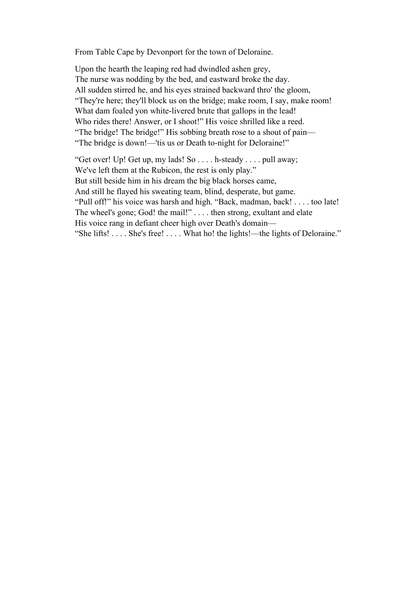From Table Cape by Devonport for the town of Deloraine.

Upon the hearth the leaping red had dwindled ashen grey, The nurse was nodding by the bed, and eastward broke the day. All sudden stirred he, and his eyes strained backward thro' the gloom, "They're here; they'll block us on the bridge; make room, I say, make room! What dam foaled yon white-livered brute that gallops in the lead! Who rides there! Answer, or I shoot!" His voice shrilled like a reed. "The bridge! The bridge!" His sobbing breath rose to a shout of pain— "The bridge is down!—'tis us or Death to-night for Deloraine!"

"Get over! Up! Get up, my lads! So . . . . h-steady . . . . pull away; We've left them at the Rubicon, the rest is only play." But still beside him in his dream the big black horses came, And still he flayed his sweating team, blind, desperate, but game. "Pull off!" his voice was harsh and high. "Back, madman, back! . . . . too late! The wheel's gone; God! the mail!" . . . . then strong, exultant and elate His voice rang in defiant cheer high over Death's domain— "She lifts! . . . . She's free! . . . . What ho! the lights!—the lights of Deloraine."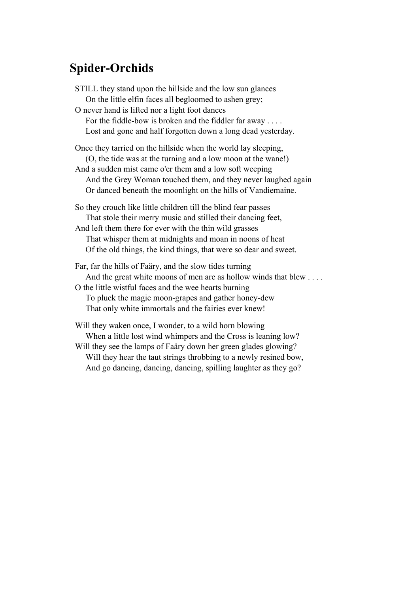## **Spider-Orchids**

STILL they stand upon the hillside and the low sun glances On the little elfin faces all begloomed to ashen grey; O never hand is lifted nor a light foot dances For the fiddle-bow is broken and the fiddler far away . . . . Lost and gone and half forgotten down a long dead yesterday. Once they tarried on the hillside when the world lay sleeping, (O, the tide was at the turning and a low moon at the wane!) And a sudden mist came o'er them and a low soft weeping And the Grey Woman touched them, and they never laughed again Or danced beneath the moonlight on the hills of Vandiemaine. So they crouch like little children till the blind fear passes That stole their merry music and stilled their dancing feet, And left them there for ever with the thin wild grasses That whisper them at midnights and moan in noons of heat Of the old things, the kind things, that were so dear and sweet. Far, far the hills of Faäry, and the slow tides turning And the great white moons of men are as hollow winds that blew ... O the little wistful faces and the wee hearts burning To pluck the magic moon-grapes and gather honey-dew That only white immortals and the fairies ever knew!

Will they waken once, I wonder, to a wild horn blowing When a little lost wind whimpers and the Cross is leaning low? Will they see the lamps of Faäry down her green glades glowing? Will they hear the taut strings throbbing to a newly resined bow, And go dancing, dancing, dancing, spilling laughter as they go?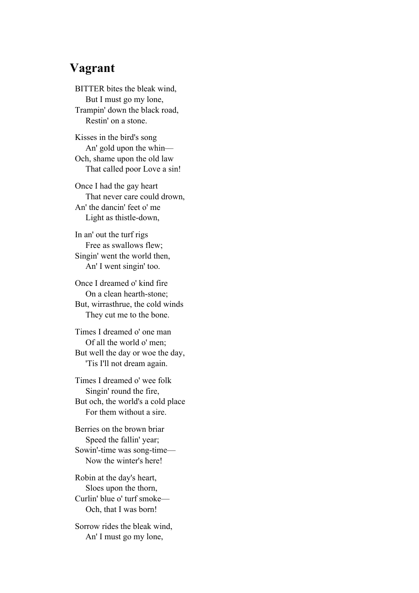#### **Vagrant**

BITTER bites the bleak wind, But I must go my lone, Trampin' down the black road, Restin' on a stone.

Kisses in the bird's song An' gold upon the whin— Och, shame upon the old law That called poor Love a sin!

Once I had the gay heart That never care could drown, An' the dancin' feet o' me Light as thistle-down,

In an' out the turf rigs Free as swallows flew; Singin' went the world then, An' I went singin' too.

Once I dreamed o' kind fire On a clean hearth-stone; But, wirrasthrue, the cold winds They cut me to the bone.

Times I dreamed o' one man Of all the world o' men; But well the day or woe the day, 'Tis I'll not dream again.

Times I dreamed o' wee folk Singin' round the fire, But och, the world's a cold place For them without a sire.

Berries on the brown briar Speed the fallin' year; Sowin'-time was song-time— Now the winter's here!

Robin at the day's heart, Sloes upon the thorn, Curlin' blue o' turf smoke— Och, that I was born!

Sorrow rides the bleak wind, An' I must go my lone,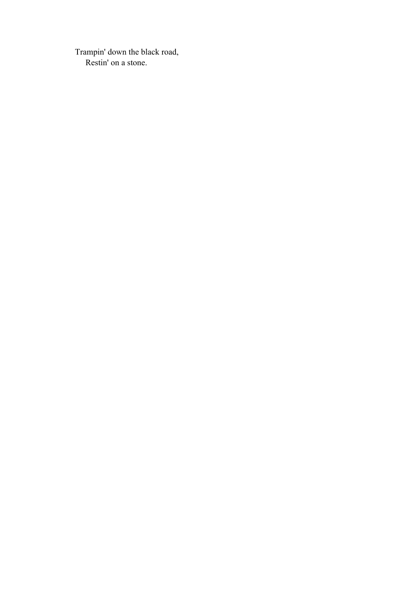Trampin' down the black road, Restin' on a stone.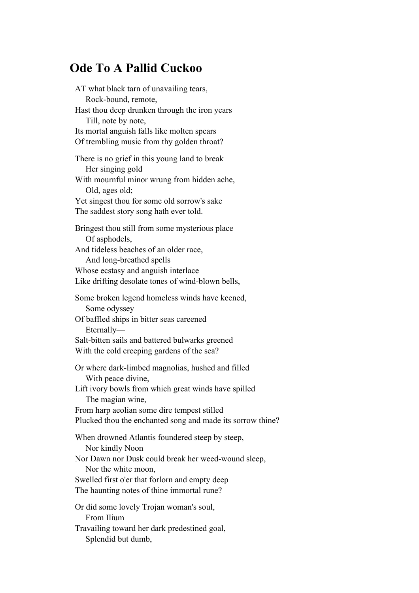## **Ode To A Pallid Cuckoo**

AT what black tarn of unavailing tears, Rock-bound, remote, Hast thou deep drunken through the iron years Till, note by note, Its mortal anguish falls like molten spears Of trembling music from thy golden throat? There is no grief in this young land to break Her singing gold With mournful minor wrung from hidden ache, Old, ages old; Yet singest thou for some old sorrow's sake The saddest story song hath ever told. Bringest thou still from some mysterious place Of asphodels, And tideless beaches of an older race, And long-breathed spells Whose ecstasy and anguish interlace Like drifting desolate tones of wind-blown bells, Some broken legend homeless winds have keened, Some odyssey Of baffled ships in bitter seas careened Eternally— Salt-bitten sails and battered bulwarks greened With the cold creeping gardens of the sea? Or where dark-limbed magnolias, hushed and filled With peace divine, Lift ivory bowls from which great winds have spilled The magian wine, From harp aeolian some dire tempest stilled Plucked thou the enchanted song and made its sorrow thine? When drowned Atlantis foundered steep by steep, Nor kindly Noon Nor Dawn nor Dusk could break her weed-wound sleep, Nor the white moon, Swelled first o'er that forlorn and empty deep The haunting notes of thine immortal rune? Or did some lovely Trojan woman's soul, From Ilium Travailing toward her dark predestined goal,

Splendid but dumb,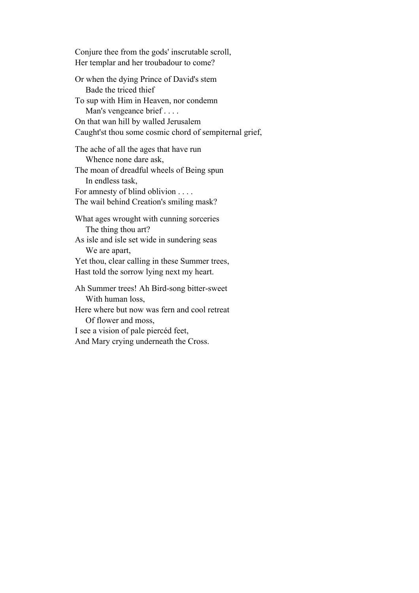Conjure thee from the gods' inscrutable scroll, Her templar and her troubadour to come?

Or when the dying Prince of David's stem Bade the triced thief To sup with Him in Heaven, nor condemn Man's vengeance brief . . . . On that wan hill by walled Jerusalem Caught'st thou some cosmic chord of sempiternal grief,

The ache of all the ages that have run Whence none dare ask, The moan of dreadful wheels of Being spun In endless task, For amnesty of blind oblivion . . . . The wail behind Creation's smiling mask?

What ages wrought with cunning sorceries The thing thou art?

As isle and isle set wide in sundering seas We are apart,

Yet thou, clear calling in these Summer trees, Hast told the sorrow lying next my heart.

Ah Summer trees! Ah Bird-song bitter-sweet With human loss,

Here where but now was fern and cool retreat Of flower and moss,

I see a vision of pale piercéd feet, And Mary crying underneath the Cross.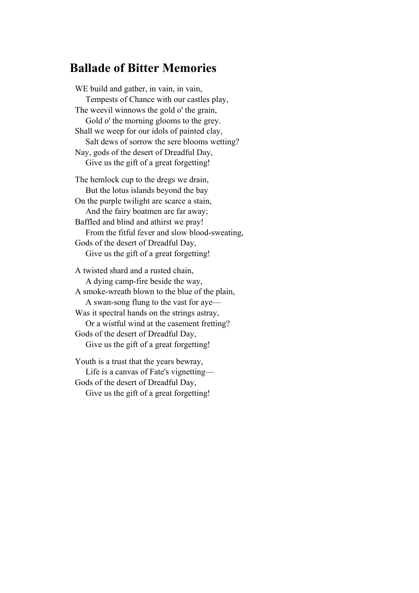## **Ballade of Bitter Memories**

WE build and gather, in vain, in vain, Tempests of Chance with our castles play, The weevil winnows the gold o' the grain, Gold o' the morning glooms to the grey. Shall we weep for our idols of painted clay, Salt dews of sorrow the sere blooms wetting? Nay, gods of the desert of Dreadful Day, Give us the gift of a great forgetting! The hemlock cup to the dregs we drain, But the lotus islands beyond the bay On the purple twilight are scarce a stain, And the fairy boatmen are far away; Baffled and blind and athirst we pray! From the fitful fever and slow blood-sweating, Gods of the desert of Dreadful Day, Give us the gift of a great forgetting! A twisted shard and a rusted chain, A dying camp-fire beside the way, A smoke-wreath blown to the blue of the plain,

 A swan-song flung to the vast for aye— Was it spectral hands on the strings astray, Or a wistful wind at the casement fretting? Gods of the desert of Dreadful Day, Give us the gift of a great forgetting!

Youth is a trust that the years bewray, Life is a canvas of Fate's vignetting— Gods of the desert of Dreadful Day, Give us the gift of a great forgetting!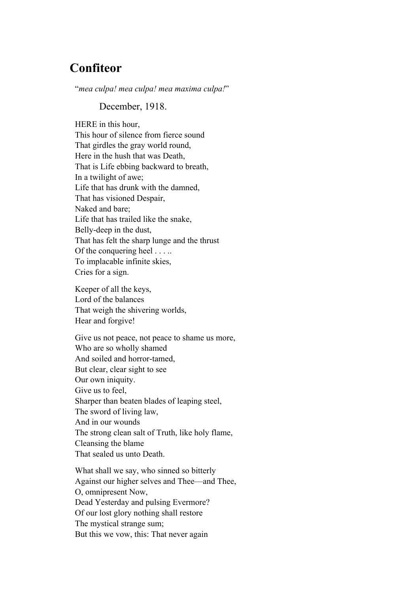## **Confiteor**

"*mea culpa! mea culpa! mea maxima culpa!*"

December, 1918.

HERE in this hour, This hour of silence from fierce sound That girdles the gray world round, Here in the hush that was Death, That is Life ebbing backward to breath, In a twilight of awe; Life that has drunk with the damned, That has visioned Despair, Naked and bare; Life that has trailed like the snake, Belly-deep in the dust, That has felt the sharp lunge and the thrust Of the conquering heel . . . .. To implacable infinite skies, Cries for a sign.

Keeper of all the keys, Lord of the balances That weigh the shivering worlds, Hear and forgive!

Give us not peace, not peace to shame us more, Who are so wholly shamed And soiled and horror-tamed, But clear, clear sight to see Our own iniquity. Give us to feel, Sharper than beaten blades of leaping steel, The sword of living law, And in our wounds The strong clean salt of Truth, like holy flame, Cleansing the blame That sealed us unto Death.

What shall we say, who sinned so bitterly Against our higher selves and Thee—and Thee, O, omnipresent Now, Dead Yesterday and pulsing Evermore? Of our lost glory nothing shall restore The mystical strange sum; But this we vow, this: That never again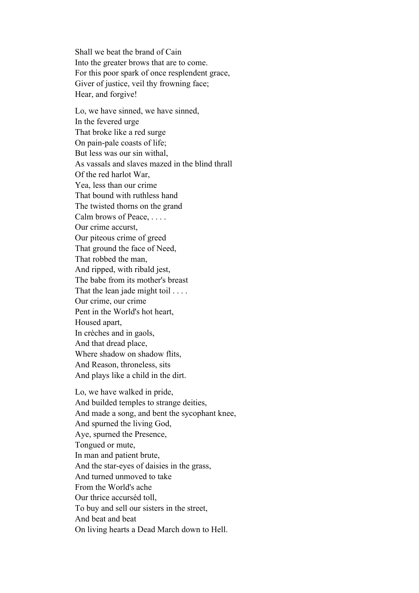Shall we beat the brand of Cain Into the greater brows that are to come. For this poor spark of once resplendent grace, Giver of justice, veil thy frowning face; Hear, and forgive!

Lo, we have sinned, we have sinned, In the fevered urge That broke like a red surge On pain-pale coasts of life; But less was our sin withal, As vassals and slaves mazed in the blind thrall Of the red harlot War, Yea, less than our crime That bound with ruthless hand The twisted thorns on the grand Calm brows of Peace, . . . . Our crime accurst, Our piteous crime of greed That ground the face of Need, That robbed the man, And ripped, with ribald jest, The babe from its mother's breast That the lean jade might toil . . . . Our crime, our crime Pent in the World's hot heart, Housed apart, In crèches and in gaols, And that dread place, Where shadow on shadow flits, And Reason, throneless, sits And plays like a child in the dirt.

Lo, we have walked in pride, And builded temples to strange deities, And made a song, and bent the sycophant knee, And spurned the living God, Aye, spurned the Presence, Tongued or mute, In man and patient brute, And the star-eyes of daisies in the grass, And turned unmoved to take From the World's ache Our thrice accurséd toll, To buy and sell our sisters in the street, And beat and beat On living hearts a Dead March down to Hell.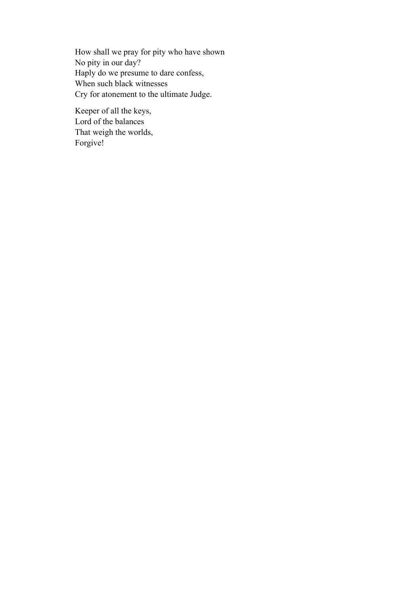How shall we pray for pity who have shown No pity in our day? Haply do we presume to dare confess, When such black witnesses Cry for atonement to the ultimate Judge.

Keeper of all the keys, Lord of the balances That weigh the worlds, Forgive!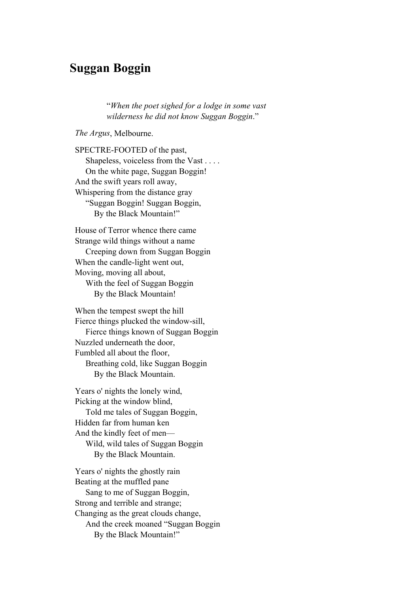### **Suggan Boggin**

"*When the poet sighed for a lodge in some vast wilderness he did not know Suggan Boggin*."

*The Argus*, Melbourne.

SPECTRE-FOOTED of the past, Shapeless, voiceless from the Vast . . . . On the white page, Suggan Boggin! And the swift years roll away, Whispering from the distance gray "Suggan Boggin! Suggan Boggin, By the Black Mountain!"

House of Terror whence there came Strange wild things without a name Creeping down from Suggan Boggin When the candle-light went out, Moving, moving all about, With the feel of Suggan Boggin By the Black Mountain!

When the tempest swept the hill Fierce things plucked the window-sill, Fierce things known of Suggan Boggin Nuzzled underneath the door, Fumbled all about the floor, Breathing cold, like Suggan Boggin By the Black Mountain.

Years o' nights the lonely wind, Picking at the window blind, Told me tales of Suggan Boggin, Hidden far from human ken And the kindly feet of men— Wild, wild tales of Suggan Boggin By the Black Mountain.

Years o' nights the ghostly rain Beating at the muffled pane Sang to me of Suggan Boggin, Strong and terrible and strange; Changing as the great clouds change, And the creek moaned "Suggan Boggin By the Black Mountain!"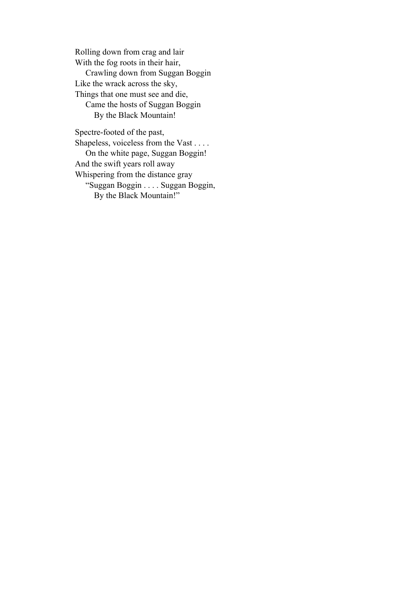Rolling down from crag and lair With the fog roots in their hair, Crawling down from Suggan Boggin Like the wrack across the sky, Things that one must see and die, Came the hosts of Suggan Boggin By the Black Mountain!

Spectre-footed of the past, Shapeless, voiceless from the Vast . . . . On the white page, Suggan Boggin! And the swift years roll away Whispering from the distance gray "Suggan Boggin . . . . Suggan Boggin, By the Black Mountain!"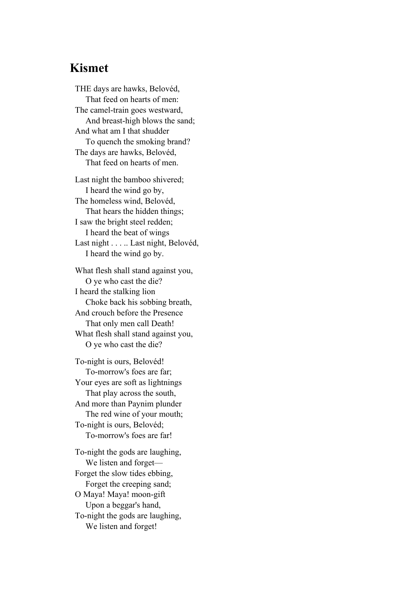#### **Kismet**

THE days are hawks, Belovéd, That feed on hearts of men: The camel-train goes westward, And breast-high blows the sand; And what am I that shudder To quench the smoking brand? The days are hawks, Belovéd, That feed on hearts of men. Last night the bamboo shivered; I heard the wind go by, The homeless wind, Belovéd, That hears the hidden things; I saw the bright steel redden; I heard the beat of wings Last night . . . . . Last night, Belovéd, I heard the wind go by.

What flesh shall stand against you, O ye who cast the die? I heard the stalking lion Choke back his sobbing breath, And crouch before the Presence That only men call Death! What flesh shall stand against you, O ye who cast the die?

To-night is ours, Belovéd! To-morrow's foes are far; Your eyes are soft as lightnings That play across the south, And more than Paynim plunder The red wine of your mouth; To-night is ours, Belovéd; To-morrow's foes are far!

To-night the gods are laughing, We listen and forget— Forget the slow tides ebbing, Forget the creeping sand; O Maya! Maya! moon-gift Upon a beggar's hand, To-night the gods are laughing, We listen and forget!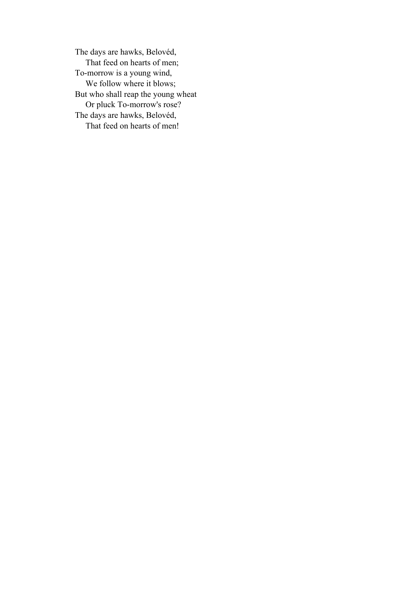The days are hawks, Belovéd, That feed on hearts of men; To-morrow is a young wind, We follow where it blows; But who shall reap the young wheat Or pluck To-morrow's rose? The days are hawks, Belovéd, That feed on hearts of men!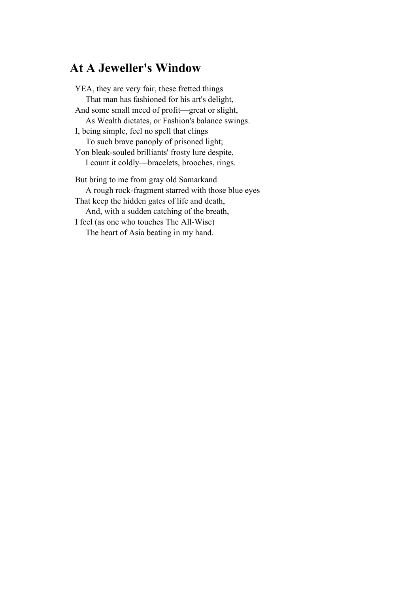## **At A Jeweller's Window**

YEA, they are very fair, these fretted things That man has fashioned for his art's delight, And some small meed of profit—great or slight, As Wealth dictates, or Fashion's balance swings. I, being simple, feel no spell that clings To such brave panoply of prisoned light; Yon bleak-souled brilliants' frosty lure despite, I count it coldly—bracelets, brooches, rings. But bring to me from gray old Samarkand A rough rock-fragment starred with those blue eyes That keep the hidden gates of life and death, And, with a sudden catching of the breath, I feel (as one who touches The All-Wise) The heart of Asia beating in my hand.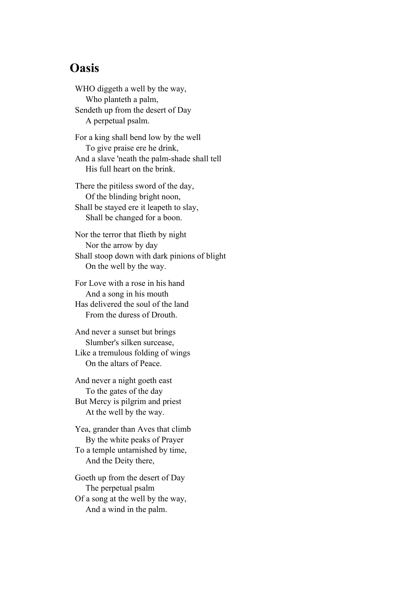### **Oasis**

WHO diggeth a well by the way, Who planteth a palm, Sendeth up from the desert of Day A perpetual psalm.

For a king shall bend low by the well To give praise ere he drink, And a slave 'neath the palm-shade shall tell His full heart on the brink.

There the pitiless sword of the day, Of the blinding bright noon, Shall be stayed ere it leapeth to slay, Shall be changed for a boon.

Nor the terror that flieth by night Nor the arrow by day Shall stoop down with dark pinions of blight On the well by the way.

For Love with a rose in his hand And a song in his mouth Has delivered the soul of the land From the duress of Drouth.

And never a sunset but brings Slumber's silken surcease, Like a tremulous folding of wings On the altars of Peace.

And never a night goeth east To the gates of the day But Mercy is pilgrim and priest At the well by the way.

Yea, grander than Aves that climb By the white peaks of Prayer To a temple untarnished by time, And the Deity there,

Goeth up from the desert of Day The perpetual psalm Of a song at the well by the way, And a wind in the palm.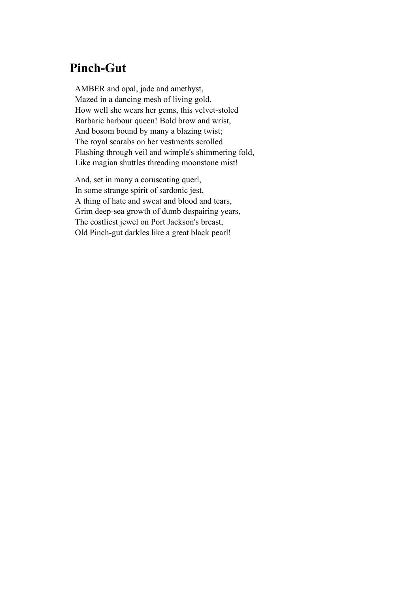## **Pinch-Gut**

AMBER and opal, jade and amethyst, Mazed in a dancing mesh of living gold. How well she wears her gems, this velvet-stoled Barbaric harbour queen! Bold brow and wrist, And bosom bound by many a blazing twist; The royal scarabs on her vestments scrolled Flashing through veil and wimple's shimmering fold, Like magian shuttles threading moonstone mist!

And, set in many a coruscating querl, In some strange spirit of sardonic jest, A thing of hate and sweat and blood and tears, Grim deep-sea growth of dumb despairing years, The costliest jewel on Port Jackson's breast, Old Pinch-gut darkles like a great black pearl!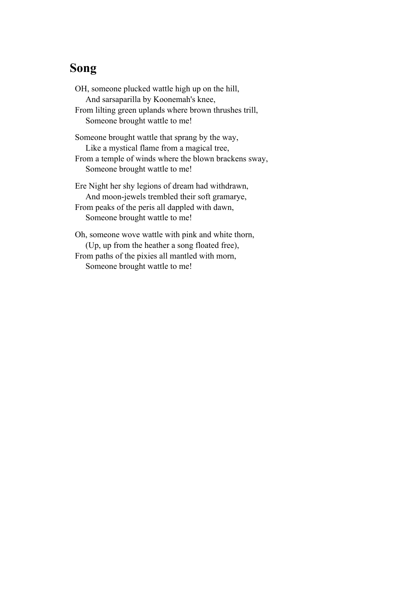## **Song**

OH, someone plucked wattle high up on the hill, And sarsaparilla by Koonemah's knee, From lilting green uplands where brown thrushes trill, Someone brought wattle to me! Someone brought wattle that sprang by the way, Like a mystical flame from a magical tree, From a temple of winds where the blown brackens sway, Someone brought wattle to me! Ere Night her shy legions of dream had withdrawn, And moon-jewels trembled their soft gramarye, From peaks of the peris all dappled with dawn, Someone brought wattle to me!

Oh, someone wove wattle with pink and white thorn, (Up, up from the heather a song floated free), From paths of the pixies all mantled with morn, Someone brought wattle to me!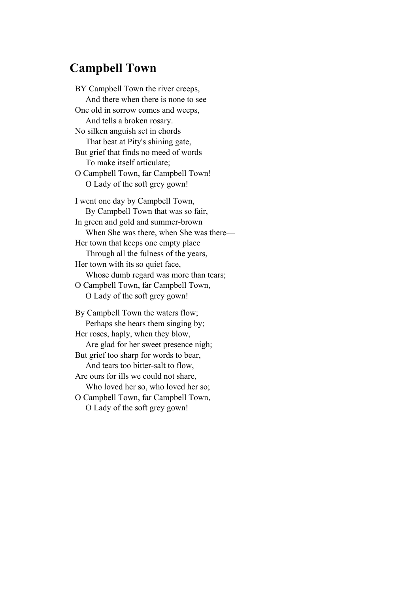### **Campbell Town**

BY Campbell Town the river creeps, And there when there is none to see One old in sorrow comes and weeps, And tells a broken rosary. No silken anguish set in chords That beat at Pity's shining gate, But grief that finds no meed of words To make itself articulate; O Campbell Town, far Campbell Town! O Lady of the soft grey gown! I went one day by Campbell Town, By Campbell Town that was so fair, In green and gold and summer-brown When She was there, when She was there— Her town that keeps one empty place Through all the fulness of the years, Her town with its so quiet face, Whose dumb regard was more than tears; O Campbell Town, far Campbell Town, O Lady of the soft grey gown! By Campbell Town the waters flow; Perhaps she hears them singing by; Her roses, haply, when they blow, Are glad for her sweet presence nigh; But grief too sharp for words to bear,

 And tears too bitter-salt to flow, Are ours for ills we could not share,

Who loved her so, who loved her so;

O Campbell Town, far Campbell Town, O Lady of the soft grey gown!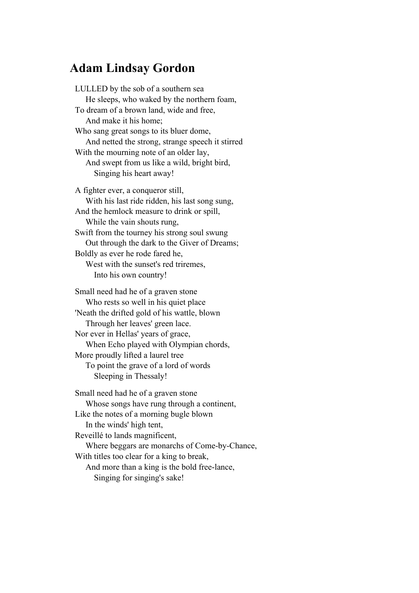### **Adam Lindsay Gordon**

LULLED by the sob of a southern sea He sleeps, who waked by the northern foam, To dream of a brown land, wide and free, And make it his home; Who sang great songs to its bluer dome, And netted the strong, strange speech it stirred With the mourning note of an older lay, And swept from us like a wild, bright bird, Singing his heart away! A fighter ever, a conqueror still, With his last ride ridden, his last song sung, And the hemlock measure to drink or spill, While the vain shouts rung, Swift from the tourney his strong soul swung Out through the dark to the Giver of Dreams; Boldly as ever he rode fared he, West with the sunset's red triremes,

Into his own country!

Small need had he of a graven stone Who rests so well in his quiet place 'Neath the drifted gold of his wattle, blown Through her leaves' green lace. Nor ever in Hellas' years of grace, When Echo played with Olympian chords, More proudly lifted a laurel tree To point the grave of a lord of words Sleeping in Thessaly!

Small need had he of a graven stone Whose songs have rung through a continent, Like the notes of a morning bugle blown In the winds' high tent, Reveillé to lands magnificent, Where beggars are monarchs of Come-by-Chance, With titles too clear for a king to break, And more than a king is the bold free-lance, Singing for singing's sake!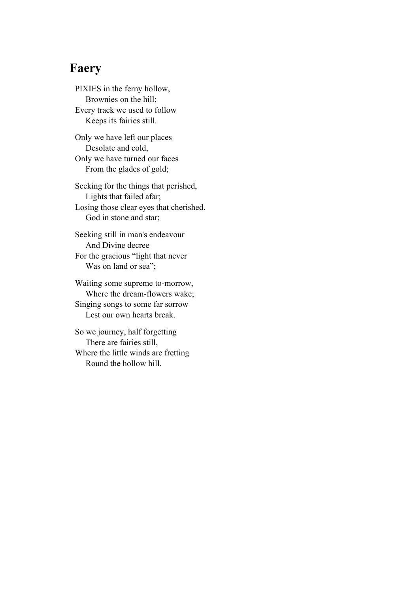# **Faery**

PIXIES in the ferny hollow, Brownies on the hill; Every track we used to follow Keeps its fairies still.

Only we have left our places Desolate and cold, Only we have turned our faces From the glades of gold;

Seeking for the things that perished, Lights that failed afar; Losing those clear eyes that cherished. God in stone and star;

Seeking still in man's endeavour And Divine decree For the gracious "light that never Was on land or sea";

Waiting some supreme to-morrow, Where the dream-flowers wake; Singing songs to some far sorrow Lest our own hearts break.

So we journey, half forgetting There are fairies still, Where the little winds are fretting Round the hollow hill.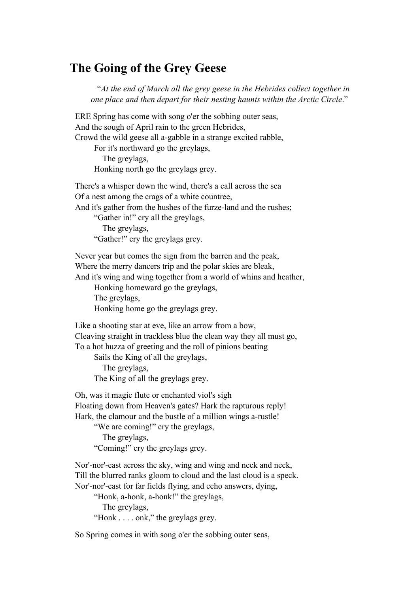## **The Going of the Grey Geese**

 "*At the end of March all the grey geese in the Hebrides collect together in one place and then depart for their nesting haunts within the Arctic Circle*."

ERE Spring has come with song o'er the sobbing outer seas, And the sough of April rain to the green Hebrides, Crowd the wild geese all a-gabble in a strange excited rabble,

For it's northward go the greylags,

The greylags,

Honking north go the greylags grey.

There's a whisper down the wind, there's a call across the sea Of a nest among the crags of a white countree,

And it's gather from the hushes of the furze-land and the rushes;

"Gather in!" cry all the greylags,

The greylags,

"Gather!" cry the greylags grey.

Never year but comes the sign from the barren and the peak, Where the merry dancers trip and the polar skies are bleak,

And it's wing and wing together from a world of whins and heather,

Honking homeward go the greylags,

The greylags,

Honking home go the greylags grey.

Like a shooting star at eve, like an arrow from a bow, Cleaving straight in trackless blue the clean way they all must go, To a hot huzza of greeting and the roll of pinions beating

Sails the King of all the greylags,

 The greylags, The King of all the greylags grey.

Oh, was it magic flute or enchanted viol's sigh

Floating down from Heaven's gates? Hark the rapturous reply!

Hark, the clamour and the bustle of a million wings a-rustle!

"We are coming!" cry the greylags,

The greylags,

"Coming!" cry the greylags grey.

Nor'-nor'-east across the sky, wing and wing and neck and neck, Till the blurred ranks gloom to cloud and the last cloud is a speck. Nor'-nor'-east for far fields flying, and echo answers, dying,

"Honk, a-honk, a-honk!" the greylags,

The greylags,

"Honk . . . . onk," the greylags grey.

So Spring comes in with song o'er the sobbing outer seas,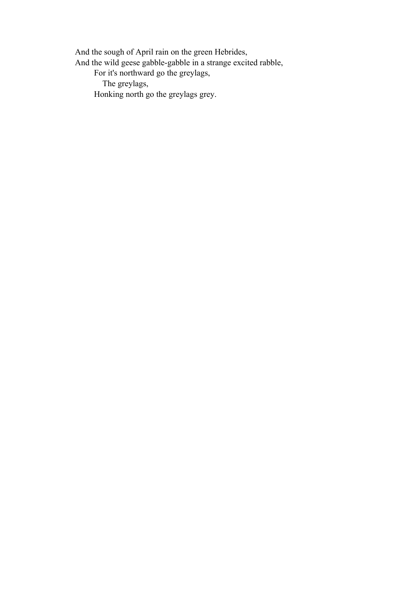And the sough of April rain on the green Hebrides,

And the wild geese gabble-gabble in a strange excited rabble,

For it's northward go the greylags,

The greylags,

Honking north go the greylags grey.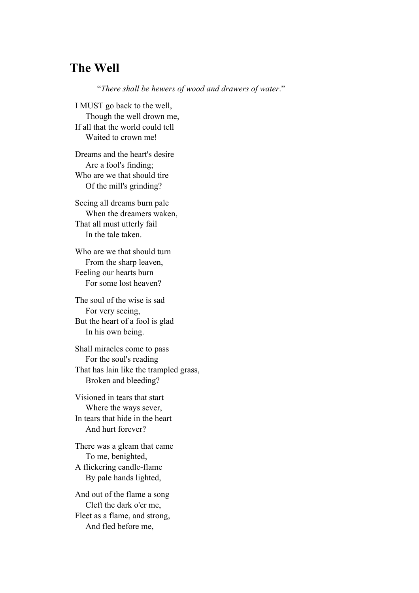## **The Well**

"*There shall be hewers of wood and drawers of water*."

I MUST go back to the well, Though the well drown me, If all that the world could tell Waited to crown me!

Dreams and the heart's desire Are a fool's finding; Who are we that should tire Of the mill's grinding?

Seeing all dreams burn pale When the dreamers waken, That all must utterly fail In the tale taken.

Who are we that should turn From the sharp leaven, Feeling our hearts burn For some lost heaven?

The soul of the wise is sad For very seeing, But the heart of a fool is glad In his own being.

Shall miracles come to pass For the soul's reading That has lain like the trampled grass, Broken and bleeding?

Visioned in tears that start Where the ways sever, In tears that hide in the heart And hurt forever?

There was a gleam that came To me, benighted, A flickering candle-flame By pale hands lighted,

And out of the flame a song Cleft the dark o'er me, Fleet as a flame, and strong, And fled before me,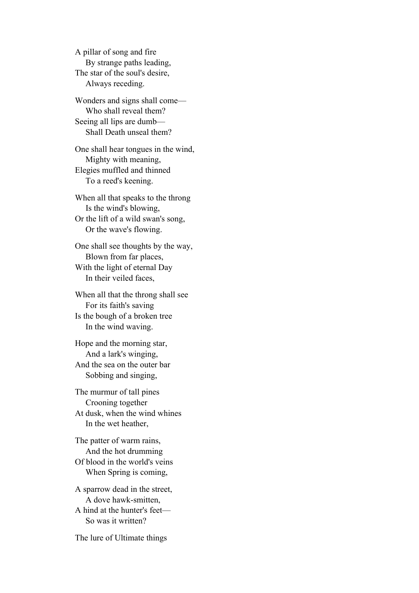A pillar of song and fire By strange paths leading, The star of the soul's desire, Always receding.

Wonders and signs shall come— Who shall reveal them? Seeing all lips are dumb— Shall Death unseal them?

One shall hear tongues in the wind, Mighty with meaning, Elegies muffled and thinned To a reed's keening.

When all that speaks to the throng Is the wind's blowing, Or the lift of a wild swan's song, Or the wave's flowing.

One shall see thoughts by the way, Blown from far places, With the light of eternal Day In their veiled faces,

When all that the throng shall see For its faith's saving Is the bough of a broken tree In the wind waving.

Hope and the morning star, And a lark's winging, And the sea on the outer bar Sobbing and singing,

The murmur of tall pines Crooning together At dusk, when the wind whines In the wet heather,

The patter of warm rains, And the hot drumming Of blood in the world's veins When Spring is coming,

A sparrow dead in the street, A dove hawk-smitten, A hind at the hunter's feet— So was it written?

The lure of Ultimate things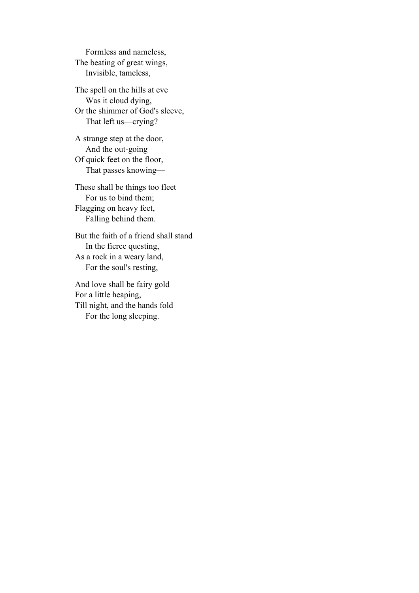Formless and nameless, The beating of great wings, Invisible, tameless,

The spell on the hills at eve Was it cloud dying, Or the shimmer of God's sleeve, That left us—crying?

A strange step at the door, And the out-going Of quick feet on the floor, That passes knowing—

These shall be things too fleet For us to bind them; Flagging on heavy feet, Falling behind them.

But the faith of a friend shall stand In the fierce questing, As a rock in a weary land, For the soul's resting,

And love shall be fairy gold For a little heaping, Till night, and the hands fold For the long sleeping.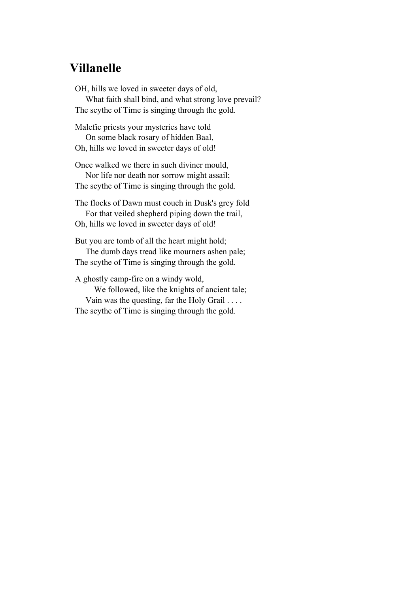## **Villanelle**

OH, hills we loved in sweeter days of old, What faith shall bind, and what strong love prevail? The scythe of Time is singing through the gold.

Malefic priests your mysteries have told On some black rosary of hidden Baal, Oh, hills we loved in sweeter days of old!

Once walked we there in such diviner mould, Nor life nor death nor sorrow might assail; The scythe of Time is singing through the gold.

The flocks of Dawn must couch in Dusk's grey fold For that veiled shepherd piping down the trail, Oh, hills we loved in sweeter days of old!

But you are tomb of all the heart might hold;

 The dumb days tread like mourners ashen pale; The scythe of Time is singing through the gold.

A ghostly camp-fire on a windy wold,

 We followed, like the knights of ancient tale; Vain was the questing, far the Holy Grail . . . . The scythe of Time is singing through the gold.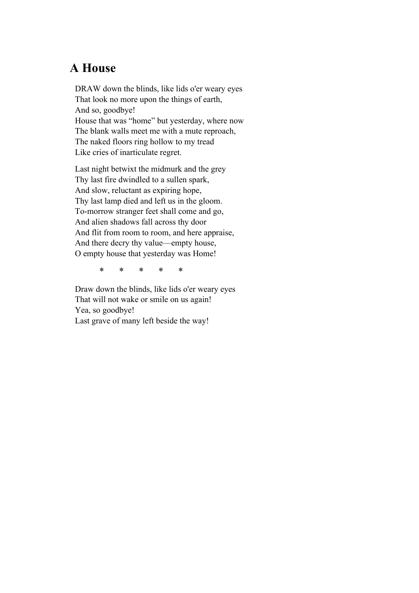# **A House**

DRAW down the blinds, like lids o'er weary eyes That look no more upon the things of earth, And so, goodbye! House that was "home" but yesterday, where now The blank walls meet me with a mute reproach, The naked floors ring hollow to my tread

Like cries of inarticulate regret.

Last night betwixt the midmurk and the grey Thy last fire dwindled to a sullen spark, And slow, reluctant as expiring hope, Thy last lamp died and left us in the gloom. To-morrow stranger feet shall come and go, And alien shadows fall across thy door And flit from room to room, and here appraise, And there decry thy value—empty house, O empty house that yesterday was Home!

\* \* \* \* \*

Draw down the blinds, like lids o'er weary eyes That will not wake or smile on us again! Yea, so goodbye! Last grave of many left beside the way!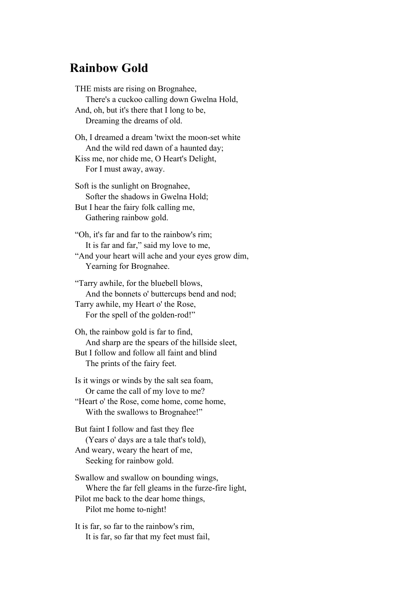#### **Rainbow Gold**

THE mists are rising on Brognahee, There's a cuckoo calling down Gwelna Hold, And, oh, but it's there that I long to be, Dreaming the dreams of old. Oh, I dreamed a dream 'twixt the moon-set white And the wild red dawn of a haunted day; Kiss me, nor chide me, O Heart's Delight, For I must away, away. Soft is the sunlight on Brognahee, Softer the shadows in Gwelna Hold; But I hear the fairy folk calling me, Gathering rainbow gold. "Oh, it's far and far to the rainbow's rim; It is far and far," said my love to me, "And your heart will ache and your eyes grow dim, Yearning for Brognahee. "Tarry awhile, for the bluebell blows, And the bonnets o' buttercups bend and nod; Tarry awhile, my Heart o' the Rose, For the spell of the golden-rod!" Oh, the rainbow gold is far to find, And sharp are the spears of the hillside sleet, But I follow and follow all faint and blind

The prints of the fairy feet.

Is it wings or winds by the salt sea foam, Or came the call of my love to me? "Heart o' the Rose, come home, come home, With the swallows to Brognahee!"

But faint I follow and fast they flee (Years o' days are a tale that's told), And weary, weary the heart of me, Seeking for rainbow gold.

Swallow and swallow on bounding wings, Where the far fell gleams in the furze-fire light, Pilot me back to the dear home things, Pilot me home to-night!

It is far, so far to the rainbow's rim, It is far, so far that my feet must fail,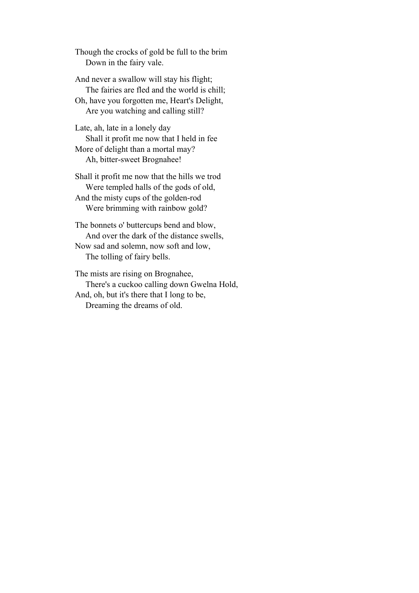Though the crocks of gold be full to the brim Down in the fairy vale.

And never a swallow will stay his flight; The fairies are fled and the world is chill; Oh, have you forgotten me, Heart's Delight, Are you watching and calling still?

Late, ah, late in a lonely day Shall it profit me now that I held in fee More of delight than a mortal may?

Ah, bitter-sweet Brognahee!

Shall it profit me now that the hills we trod Were templed halls of the gods of old, And the misty cups of the golden-rod

Were brimming with rainbow gold?

The bonnets o' buttercups bend and blow, And over the dark of the distance swells, Now sad and solemn, now soft and low, The tolling of fairy bells.

The mists are rising on Brognahee, There's a cuckoo calling down Gwelna Hold, And, oh, but it's there that I long to be, Dreaming the dreams of old.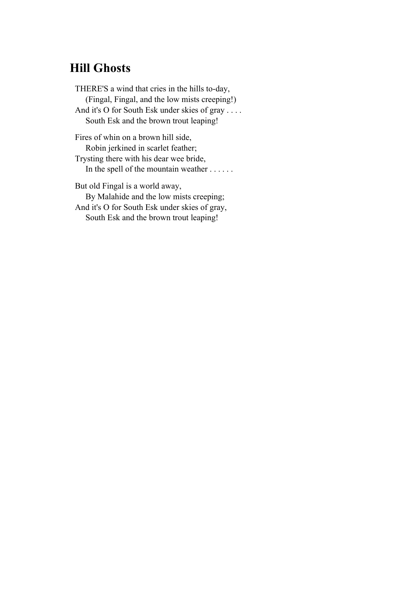# **Hill Ghosts**

THERE'S a wind that cries in the hills to-day, (Fingal, Fingal, and the low mists creeping!) And it's O for South Esk under skies of gray . . . . South Esk and the brown trout leaping! Fires of whin on a brown hill side,

 Robin jerkined in scarlet feather; Trysting there with his dear wee bride, In the spell of the mountain weather . . . . . .

But old Fingal is a world away, By Malahide and the low mists creeping; And it's O for South Esk under skies of gray, South Esk and the brown trout leaping!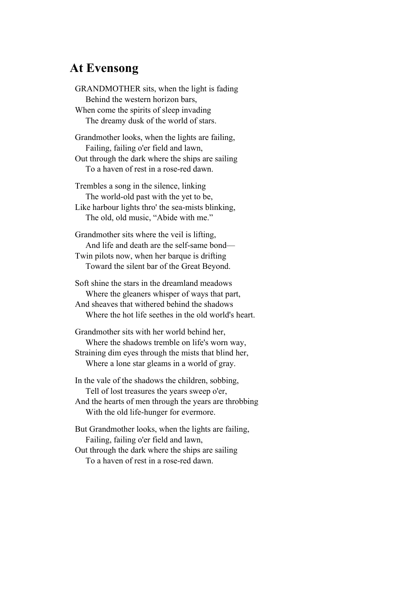## **At Evensong**

GRANDMOTHER sits, when the light is fading Behind the western horizon bars, When come the spirits of sleep invading The dreamy dusk of the world of stars.

Grandmother looks, when the lights are failing, Failing, failing o'er field and lawn, Out through the dark where the ships are sailing To a haven of rest in a rose-red dawn.

Trembles a song in the silence, linking The world-old past with the yet to be, Like harbour lights thro' the sea-mists blinking, The old, old music, "Abide with me."

Grandmother sits where the veil is lifting, And life and death are the self-same bond— Twin pilots now, when her barque is drifting Toward the silent bar of the Great Beyond.

Soft shine the stars in the dreamland meadows Where the gleaners whisper of ways that part, And sheaves that withered behind the shadows Where the hot life seethes in the old world's heart.

Grandmother sits with her world behind her, Where the shadows tremble on life's worn way, Straining dim eyes through the mists that blind her, Where a lone star gleams in a world of gray.

In the vale of the shadows the children, sobbing, Tell of lost treasures the years sweep o'er, And the hearts of men through the years are throbbing With the old life-hunger for evermore.

But Grandmother looks, when the lights are failing, Failing, failing o'er field and lawn, Out through the dark where the ships are sailing To a haven of rest in a rose-red dawn.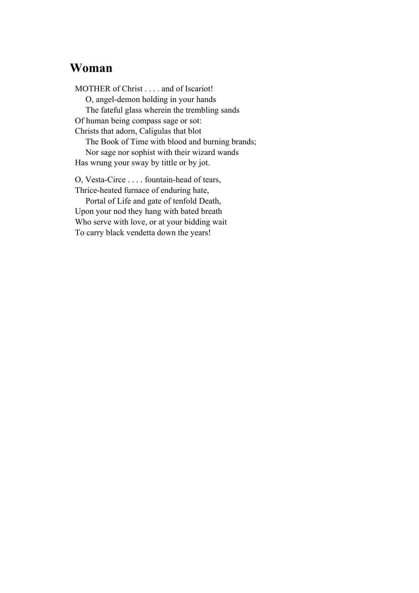## **Woman**

MOTHER of Christ . . . . and of Iscariot! O, angel-demon holding in your hands The fateful glass wherein the trembling sands Of human being compass sage or sot: Christs that adorn, Caligulas that blot The Book of Time with blood and burning brands; Nor sage nor sophist with their wizard wands Has wrung your sway by tittle or by jot. O, Vesta-Circe . . . . fountain-head of tears, Thrice-heated furnace of enduring hate,

 Portal of Life and gate of tenfold Death, Upon your nod they hang with bated breath Who serve with love, or at your bidding wait To carry black vendetta down the years!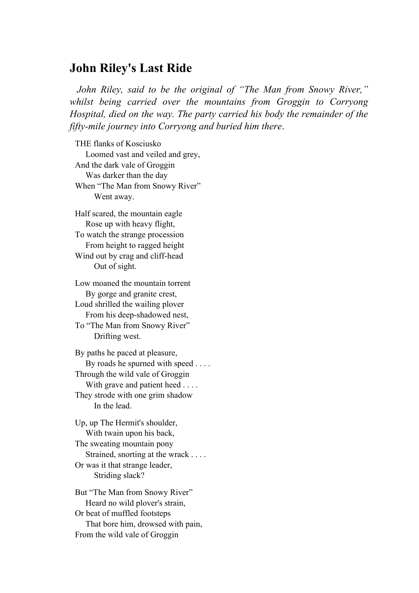#### **John Riley's Last Ride**

 *John Riley, said to be the original of "The Man from Snowy River," whilst being carried over the mountains from Groggin to Corryong Hospital, died on the way. The party carried his body the remainder of the fifty-mile journey into Corryong and buried him there*.

THE flanks of Kosciusko Loomed vast and veiled and grey, And the dark vale of Groggin Was darker than the day When "The Man from Snowy River" Went away. Half scared, the mountain eagle Rose up with heavy flight,

To watch the strange procession From height to ragged height Wind out by crag and cliff-head Out of sight.

Low moaned the mountain torrent By gorge and granite crest, Loud shrilled the wailing plover From his deep-shadowed nest,

To "The Man from Snowy River" Drifting west.

By paths he paced at pleasure, By roads he spurned with speed . . . . Through the wild vale of Groggin With grave and patient heed . . . . They strode with one grim shadow In the lead.

Up, up The Hermit's shoulder, With twain upon his back, The sweating mountain pony Strained, snorting at the wrack . . . . Or was it that strange leader, Striding slack?

But "The Man from Snowy River" Heard no wild plover's strain, Or beat of muffled footsteps That bore him, drowsed with pain, From the wild vale of Groggin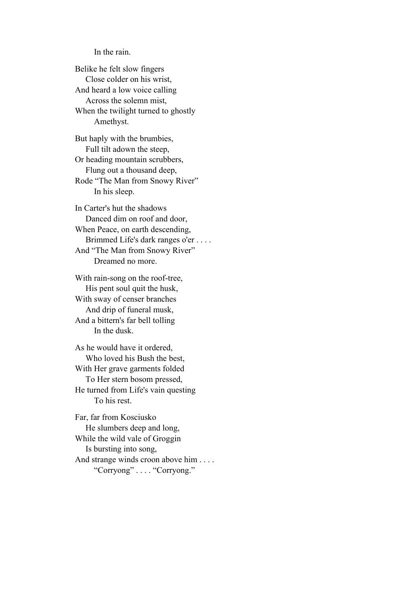#### In the rain.

Belike he felt slow fingers Close colder on his wrist, And heard a low voice calling Across the solemn mist, When the twilight turned to ghostly Amethyst.

But haply with the brumbies, Full tilt adown the steep, Or heading mountain scrubbers, Flung out a thousand deep,

Rode "The Man from Snowy River" In his sleep.

In Carter's hut the shadows Danced dim on roof and door, When Peace, on earth descending, Brimmed Life's dark ranges o'er . . . . And "The Man from Snowy River" Dreamed no more.

With rain-song on the roof-tree, His pent soul quit the husk, With sway of censer branches And drip of funeral musk, And a bittern's far bell tolling In the dusk.

As he would have it ordered, Who loved his Bush the best, With Her grave garments folded To Her stern bosom pressed, He turned from Life's vain questing To his rest.

Far, far from Kosciusko He slumbers deep and long, While the wild vale of Groggin Is bursting into song, And strange winds croon above him . . . . "Corryong" . . . . "Corryong."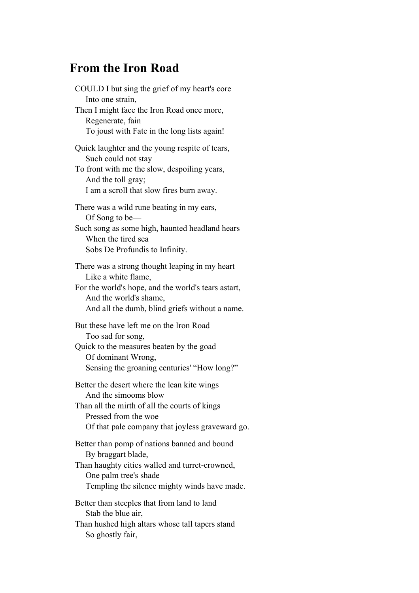### **From the Iron Road**

COULD I but sing the grief of my heart's core Into one strain, Then I might face the Iron Road once more, Regenerate, fain To joust with Fate in the long lists again! Quick laughter and the young respite of tears, Such could not stay To front with me the slow, despoiling years, And the toll gray; I am a scroll that slow fires burn away. There was a wild rune beating in my ears, Of Song to be— Such song as some high, haunted headland hears When the tired sea Sobs De Profundis to Infinity. There was a strong thought leaping in my heart Like a white flame, For the world's hope, and the world's tears astart, And the world's shame, And all the dumb, blind griefs without a name. But these have left me on the Iron Road Too sad for song, Quick to the measures beaten by the goad Of dominant Wrong, Sensing the groaning centuries' "How long?" Better the desert where the lean kite wings And the simooms blow Than all the mirth of all the courts of kings Pressed from the woe Of that pale company that joyless graveward go. Better than pomp of nations banned and bound By braggart blade, Than haughty cities walled and turret-crowned, One palm tree's shade Templing the silence mighty winds have made.

Better than steeples that from land to land Stab the blue air,

Than hushed high altars whose tall tapers stand So ghostly fair,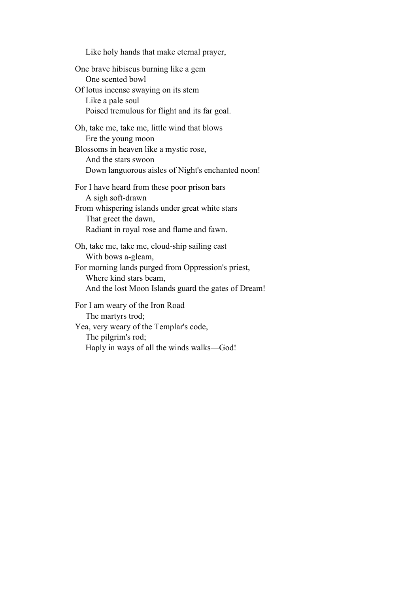Like holy hands that make eternal prayer, One brave hibiscus burning like a gem One scented bowl Of lotus incense swaying on its stem Like a pale soul Poised tremulous for flight and its far goal. Oh, take me, take me, little wind that blows Ere the young moon Blossoms in heaven like a mystic rose, And the stars swoon Down languorous aisles of Night's enchanted noon! For I have heard from these poor prison bars A sigh soft-drawn From whispering islands under great white stars That greet the dawn, Radiant in royal rose and flame and fawn. Oh, take me, take me, cloud-ship sailing east With bows a-gleam, For morning lands purged from Oppression's priest, Where kind stars beam, And the lost Moon Islands guard the gates of Dream! For I am weary of the Iron Road The martyrs trod; Yea, very weary of the Templar's code, The pilgrim's rod; Haply in ways of all the winds walks—God!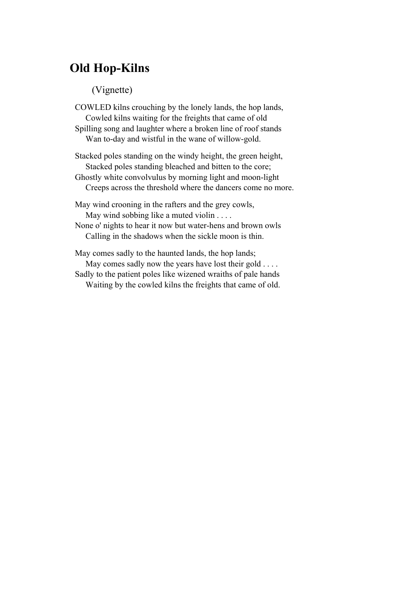# **Old Hop-Kilns**

#### (Vignette)

COWLED kilns crouching by the lonely lands, the hop lands, Cowled kilns waiting for the freights that came of old Spilling song and laughter where a broken line of roof stands Wan to-day and wistful in the wane of willow-gold.

Stacked poles standing on the windy height, the green height, Stacked poles standing bleached and bitten to the core; Ghostly white convolvulus by morning light and moon-light

Creeps across the threshold where the dancers come no more.

May wind crooning in the rafters and the grey cowls, May wind sobbing like a muted violin . . . .

None o' nights to hear it now but water-hens and brown owls Calling in the shadows when the sickle moon is thin.

May comes sadly to the haunted lands, the hop lands; May comes sadly now the years have lost their gold . . . . Sadly to the patient poles like wizened wraiths of pale hands Waiting by the cowled kilns the freights that came of old.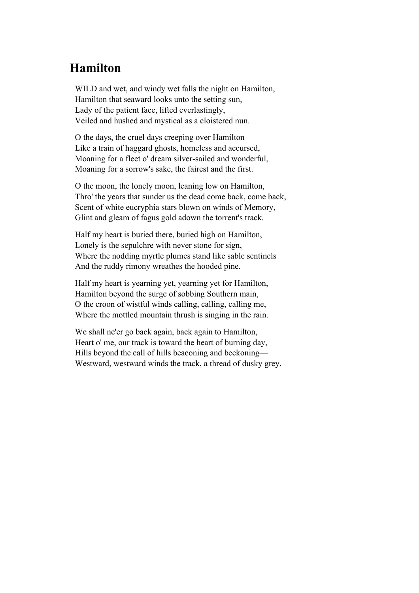# **Hamilton**

WILD and wet, and windy wet falls the night on Hamilton, Hamilton that seaward looks unto the setting sun, Lady of the patient face, lifted everlastingly, Veiled and hushed and mystical as a cloistered nun.

O the days, the cruel days creeping over Hamilton Like a train of haggard ghosts, homeless and accursed, Moaning for a fleet o' dream silver-sailed and wonderful, Moaning for a sorrow's sake, the fairest and the first.

O the moon, the lonely moon, leaning low on Hamilton, Thro' the years that sunder us the dead come back, come back, Scent of white eucryphia stars blown on winds of Memory, Glint and gleam of fagus gold adown the torrent's track.

Half my heart is buried there, buried high on Hamilton, Lonely is the sepulchre with never stone for sign, Where the nodding myrtle plumes stand like sable sentinels And the ruddy rimony wreathes the hooded pine.

Half my heart is yearning yet, yearning yet for Hamilton, Hamilton beyond the surge of sobbing Southern main, O the croon of wistful winds calling, calling, calling me, Where the mottled mountain thrush is singing in the rain.

We shall ne'er go back again, back again to Hamilton, Heart o' me, our track is toward the heart of burning day, Hills beyond the call of hills beaconing and beckoning— Westward, westward winds the track, a thread of dusky grey.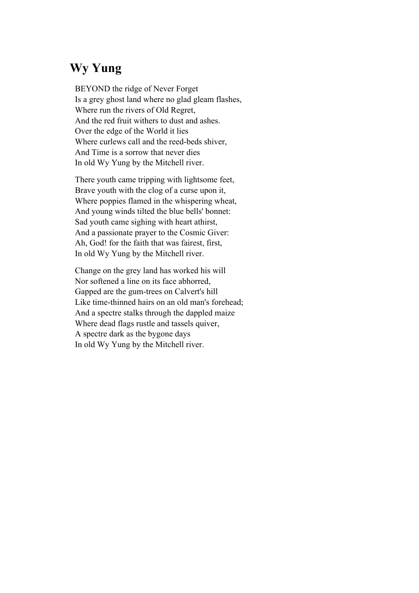# **Wy Yung**

BEYOND the ridge of Never Forget Is a grey ghost land where no glad gleam flashes, Where run the rivers of Old Regret, And the red fruit withers to dust and ashes. Over the edge of the World it lies Where curlews call and the reed-beds shiver, And Time is a sorrow that never dies In old Wy Yung by the Mitchell river.

There youth came tripping with lightsome feet, Brave youth with the clog of a curse upon it, Where poppies flamed in the whispering wheat, And young winds tilted the blue bells' bonnet: Sad youth came sighing with heart athirst, And a passionate prayer to the Cosmic Giver: Ah, God! for the faith that was fairest, first, In old Wy Yung by the Mitchell river.

Change on the grey land has worked his will Nor softened a line on its face abhorred, Gapped are the gum-trees on Calvert's hill Like time-thinned hairs on an old man's forehead; And a spectre stalks through the dappled maize Where dead flags rustle and tassels quiver, A spectre dark as the bygone days In old Wy Yung by the Mitchell river.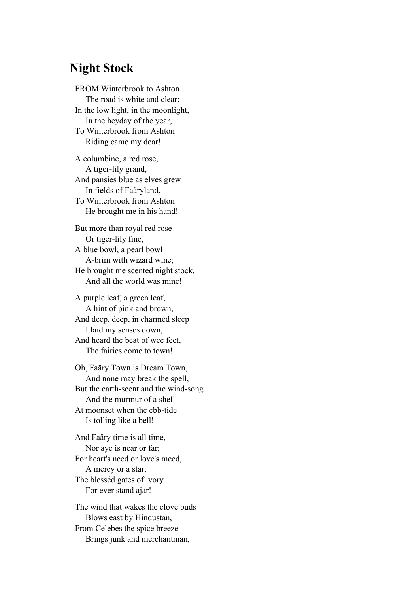### **Night Stock**

FROM Winterbrook to Ashton The road is white and clear; In the low light, in the moonlight, In the heyday of the year, To Winterbrook from Ashton Riding came my dear!

A columbine, a red rose, A tiger-lily grand, And pansies blue as elves grew In fields of Faäryland, To Winterbrook from Ashton He brought me in his hand!

But more than royal red rose Or tiger-lily fine, A blue bowl, a pearl bowl A-brim with wizard wine; He brought me scented night stock, And all the world was mine!

A purple leaf, a green leaf, A hint of pink and brown, And deep, deep, in charméd sleep I laid my senses down, And heard the beat of wee feet, The fairies come to town!

Oh, Faäry Town is Dream Town, And none may break the spell, But the earth-scent and the wind-song And the murmur of a shell At moonset when the ebb-tide Is tolling like a bell!

And Faäry time is all time, Nor aye is near or far; For heart's need or love's meed, A mercy or a star, The blesséd gates of ivory For ever stand ajar!

The wind that wakes the clove buds Blows east by Hindustan, From Celebes the spice breeze Brings junk and merchantman,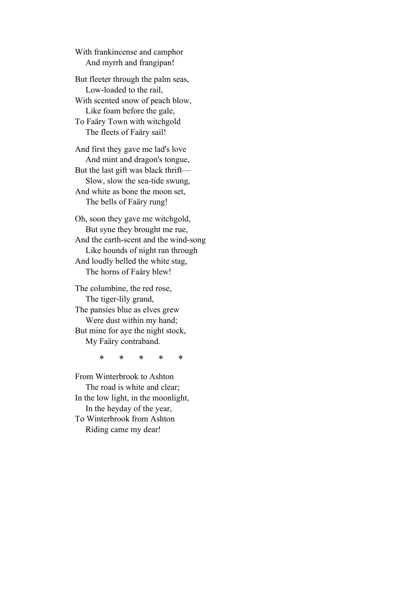With frankincense and camphor And myrrh and frangipan!

But fleeter through the palm seas, Low-loaded to the rail, With scented snow of peach blow, Like foam before the gale, To Faäry Town with witchgold The fleets of Faäry sail!

And first they gave me lad's love And mint and dragon's tongue, But the last gift was black thrift— Slow, slow the sea-tide swung, And white as bone the moon set, The bells of Faäry rung!

Oh, soon they gave me witchgold, But syne they brought me rue, And the earth-scent and the wind-song Like hounds of night ran through And loudly belled the white stag, The horns of Faäry blew!

The columbine, the red rose, The tiger-lily grand, The pansies blue as elves grew Were dust within my hand; But mine for aye the night stock, My Faäry contraband.

\* \* \* \* \*

From Winterbrook to Ashton The road is white and clear; In the low light, in the moonlight, In the heyday of the year, To Winterbrook from Ashton Riding came my dear!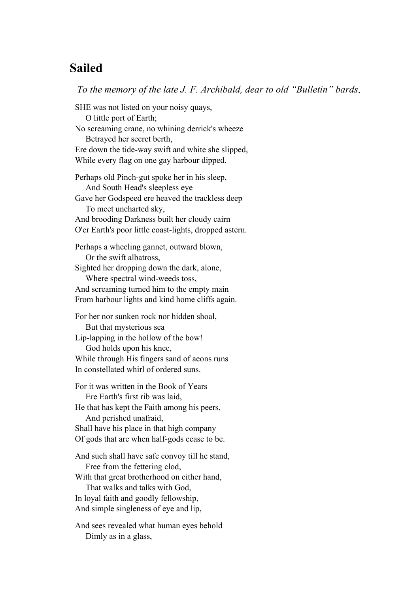## **Sailed**

*To the memory of the late J. F. Archibald, dear to old "Bulletin" bards*.

SHE was not listed on your noisy quays, O little port of Earth; No screaming crane, no whining derrick's wheeze Betrayed her secret berth, Ere down the tide-way swift and white she slipped, While every flag on one gay harbour dipped. Perhaps old Pinch-gut spoke her in his sleep, And South Head's sleepless eye Gave her Godspeed ere heaved the trackless deep To meet uncharted sky, And brooding Darkness built her cloudy cairn O'er Earth's poor little coast-lights, dropped astern. Perhaps a wheeling gannet, outward blown, Or the swift albatross, Sighted her dropping down the dark, alone, Where spectral wind-weeds toss, And screaming turned him to the empty main From harbour lights and kind home cliffs again. For her nor sunken rock nor hidden shoal, But that mysterious sea Lip-lapping in the hollow of the bow! God holds upon his knee, While through His fingers sand of aeons runs In constellated whirl of ordered suns. For it was written in the Book of Years Ere Earth's first rib was laid, He that has kept the Faith among his peers, And perished unafraid, Shall have his place in that high company Of gods that are when half-gods cease to be. And such shall have safe convoy till he stand, Free from the fettering clod, With that great brotherhood on either hand,

 That walks and talks with God, In loyal faith and goodly fellowship, And simple singleness of eye and lip,

And sees revealed what human eyes behold Dimly as in a glass,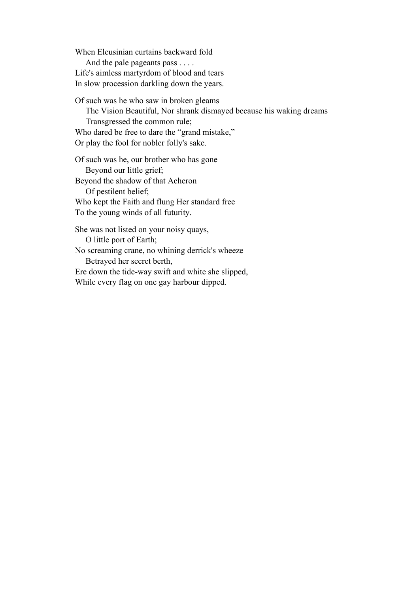When Eleusinian curtains backward fold And the pale pageants pass . . . . Life's aimless martyrdom of blood and tears In slow procession darkling down the years.

Of such was he who saw in broken gleams The Vision Beautiful, Nor shrank dismayed because his waking dreams Transgressed the common rule; Who dared be free to dare the "grand mistake," Or play the fool for nobler folly's sake.

Of such was he, our brother who has gone Beyond our little grief; Beyond the shadow of that Acheron Of pestilent belief; Who kept the Faith and flung Her standard free To the young winds of all futurity.

She was not listed on your noisy quays, O little port of Earth; No screaming crane, no whining derrick's wheeze Betrayed her secret berth, Ere down the tide-way swift and white she slipped, While every flag on one gay harbour dipped.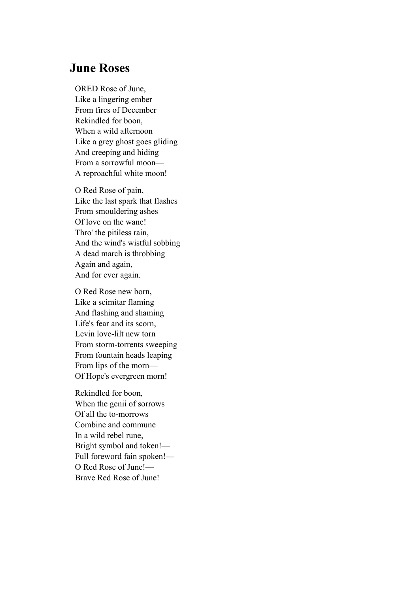## **June Roses**

ORED Rose of June, Like a lingering ember From fires of December Rekindled for boon, When a wild afternoon Like a grey ghost goes gliding And creeping and hiding From a sorrowful moon— A reproachful white moon!

O Red Rose of pain, Like the last spark that flashes From smouldering ashes Of love on the wane! Thro' the pitiless rain, And the wind's wistful sobbing A dead march is throbbing Again and again, And for ever again.

O Red Rose new born, Like a scimitar flaming And flashing and shaming Life's fear and its scorn, Levin love-lilt new torn From storm-torrents sweeping From fountain heads leaping From lips of the morn— Of Hope's evergreen morn!

Rekindled for boon, When the genii of sorrows Of all the to-morrows Combine and commune In a wild rebel rune, Bright symbol and token!— Full foreword fain spoken!— O Red Rose of June!— Brave Red Rose of June!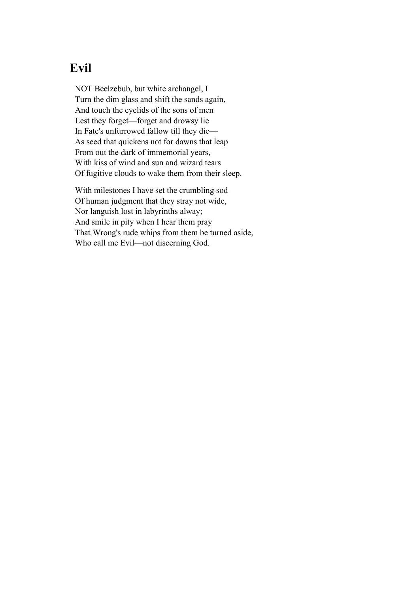# **Evil**

NOT Beelzebub, but white archangel, I Turn the dim glass and shift the sands again, And touch the eyelids of the sons of men Lest they forget—forget and drowsy lie In Fate's unfurrowed fallow till they die— As seed that quickens not for dawns that leap From out the dark of immemorial years, With kiss of wind and sun and wizard tears Of fugitive clouds to wake them from their sleep.

With milestones I have set the crumbling sod Of human judgment that they stray not wide, Nor languish lost in labyrinths alway; And smile in pity when I hear them pray That Wrong's rude whips from them be turned aside, Who call me Evil—not discerning God.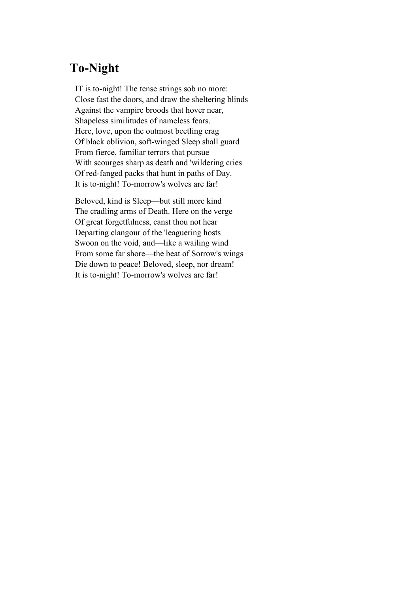# **To-Night**

IT is to-night! The tense strings sob no more: Close fast the doors, and draw the sheltering blinds Against the vampire broods that hover near, Shapeless similitudes of nameless fears. Here, love, upon the outmost beetling crag Of black oblivion, soft-winged Sleep shall guard From fierce, familiar terrors that pursue With scourges sharp as death and 'wildering cries Of red-fanged packs that hunt in paths of Day. It is to-night! To-morrow's wolves are far!

Beloved, kind is Sleep—but still more kind The cradling arms of Death. Here on the verge Of great forgetfulness, canst thou not hear Departing clangour of the 'leaguering hosts Swoon on the void, and—like a wailing wind From some far shore—the beat of Sorrow's wings Die down to peace! Beloved, sleep, nor dream! It is to-night! To-morrow's wolves are far!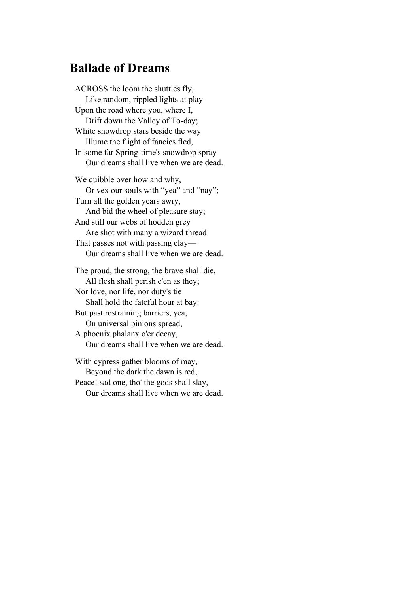## **Ballade of Dreams**

ACROSS the loom the shuttles fly, Like random, rippled lights at play Upon the road where you, where I, Drift down the Valley of To-day; White snowdrop stars beside the way Illume the flight of fancies fled, In some far Spring-time's snowdrop spray Our dreams shall live when we are dead. We quibble over how and why, Or vex our souls with "yea" and "nay"; Turn all the golden years awry, And bid the wheel of pleasure stay; And still our webs of hodden grey Are shot with many a wizard thread That passes not with passing clay— Our dreams shall live when we are dead. The proud, the strong, the brave shall die, All flesh shall perish e'en as they; Nor love, nor life, nor duty's tie Shall hold the fateful hour at bay: But past restraining barriers, yea, On universal pinions spread, A phoenix phalanx o'er decay, Our dreams shall live when we are dead. With cypress gather blooms of may,

 Beyond the dark the dawn is red; Peace! sad one, tho' the gods shall slay, Our dreams shall live when we are dead.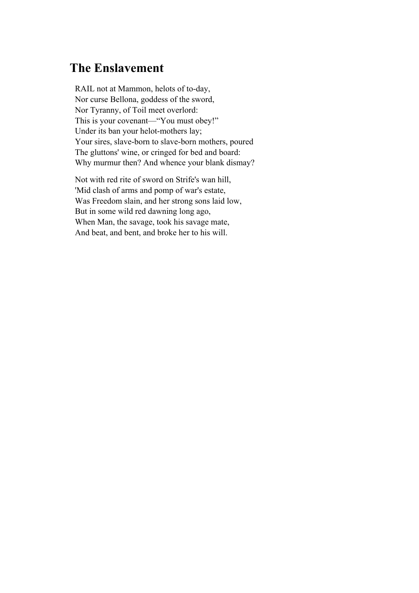# **The Enslavement**

RAIL not at Mammon, helots of to-day, Nor curse Bellona, goddess of the sword, Nor Tyranny, of Toil meet overlord: This is your covenant—"You must obey!" Under its ban your helot-mothers lay; Your sires, slave-born to slave-born mothers, poured The gluttons' wine, or cringed for bed and board: Why murmur then? And whence your blank dismay?

Not with red rite of sword on Strife's wan hill, 'Mid clash of arms and pomp of war's estate, Was Freedom slain, and her strong sons laid low, But in some wild red dawning long ago, When Man, the savage, took his savage mate, And beat, and bent, and broke her to his will.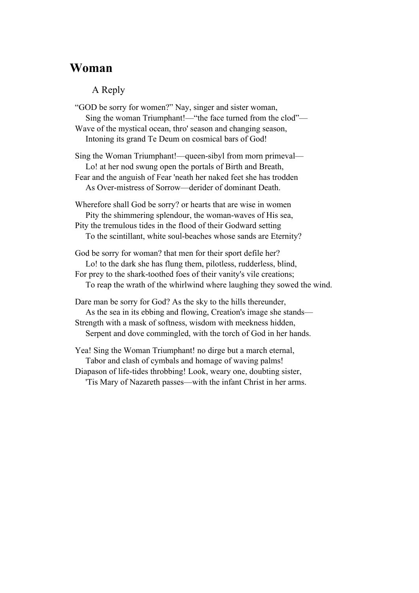### **Woman**

#### A Reply

"GOD be sorry for women?" Nay, singer and sister woman, Sing the woman Triumphant!—"the face turned from the clod"— Wave of the mystical ocean, thro' season and changing season, Intoning its grand Te Deum on cosmical bars of God!

Sing the Woman Triumphant!—queen-sibyl from morn primeval— Lo! at her nod swung open the portals of Birth and Breath, Fear and the anguish of Fear 'neath her naked feet she has trodden As Over-mistress of Sorrow—derider of dominant Death.

Wherefore shall God be sorry? or hearts that are wise in women Pity the shimmering splendour, the woman-waves of His sea, Pity the tremulous tides in the flood of their Godward setting To the scintillant, white soul-beaches whose sands are Eternity?

God be sorry for woman? that men for their sport defile her? Lo! to the dark she has flung them, pilotless, rudderless, blind, For prey to the shark-toothed foes of their vanity's vile creations; To reap the wrath of the whirlwind where laughing they sowed the wind.

Dare man be sorry for God? As the sky to the hills thereunder, As the sea in its ebbing and flowing, Creation's image she stands— Strength with a mask of softness, wisdom with meekness hidden, Serpent and dove commingled, with the torch of God in her hands.

Yea! Sing the Woman Triumphant! no dirge but a march eternal, Tabor and clash of cymbals and homage of waving palms! Diapason of life-tides throbbing! Look, weary one, doubting sister, 'Tis Mary of Nazareth passes—with the infant Christ in her arms.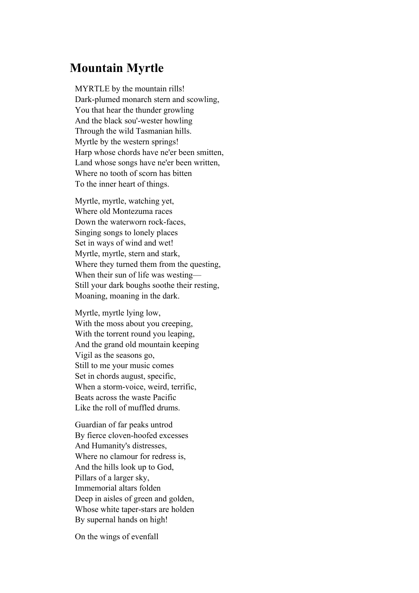## **Mountain Myrtle**

MYRTLE by the mountain rills! Dark-plumed monarch stern and scowling, You that hear the thunder growling And the black sou'-wester howling Through the wild Tasmanian hills. Myrtle by the western springs! Harp whose chords have ne'er been smitten, Land whose songs have ne'er been written, Where no tooth of scorn has bitten To the inner heart of things.

Myrtle, myrtle, watching yet, Where old Montezuma races Down the waterworn rock-faces, Singing songs to lonely places Set in ways of wind and wet! Myrtle, myrtle, stern and stark, Where they turned them from the questing, When their sun of life was westing— Still your dark boughs soothe their resting, Moaning, moaning in the dark.

Myrtle, myrtle lying low, With the moss about you creeping, With the torrent round you leaping, And the grand old mountain keeping Vigil as the seasons go, Still to me your music comes Set in chords august, specific, When a storm-voice, weird, terrific, Beats across the waste Pacific Like the roll of muffled drums.

Guardian of far peaks untrod By fierce cloven-hoofed excesses And Humanity's distresses, Where no clamour for redress is, And the hills look up to God, Pillars of a larger sky, Immemorial altars folden Deep in aisles of green and golden, Whose white taper-stars are holden By supernal hands on high!

On the wings of evenfall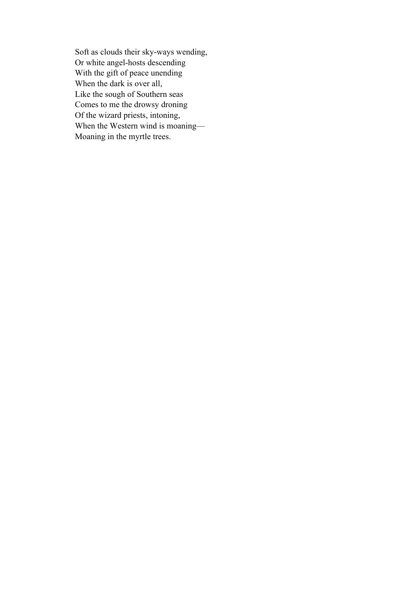Soft as clouds their sky-ways wending, Or white angel-hosts descending With the gift of peace unending When the dark is over all, Like the sough of Southern seas Comes to me the drowsy droning Of the wizard priests, intoning, When the Western wind is moaning— Moaning in the myrtle trees.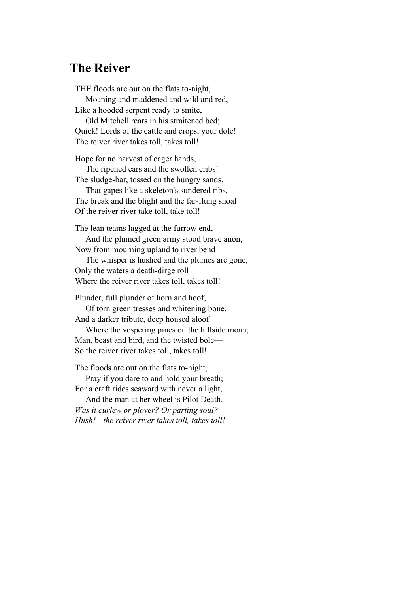### **The Reiver**

THE floods are out on the flats to-night, Moaning and maddened and wild and red, Like a hooded serpent ready to smite,

 Old Mitchell rears in his straitened bed; Quick! Lords of the cattle and crops, your dole! The reiver river takes toll, takes toll!

Hope for no harvest of eager hands, The ripened ears and the swollen cribs!

The sludge-bar, tossed on the hungry sands,

 That gapes like a skeleton's sundered ribs, The break and the blight and the far-flung shoal Of the reiver river take toll, take toll!

The lean teams lagged at the furrow end,

 And the plumed green army stood brave anon, Now from mourning upland to river bend

 The whisper is hushed and the plumes are gone, Only the waters a death-dirge roll Where the reiver river takes toll, takes toll!

Plunder, full plunder of horn and hoof, Of torn green tresses and whitening bone, And a darker tribute, deep housed aloof

 Where the vespering pines on the hillside moan, Man, beast and bird, and the twisted bole— So the reiver river takes toll, takes toll!

The floods are out on the flats to-night, Pray if you dare to and hold your breath;

For a craft rides seaward with never a light, And the man at her wheel is Pilot Death.

*Was it curlew or plover? Or parting soul? Hush!—the reiver river takes toll, takes toll!*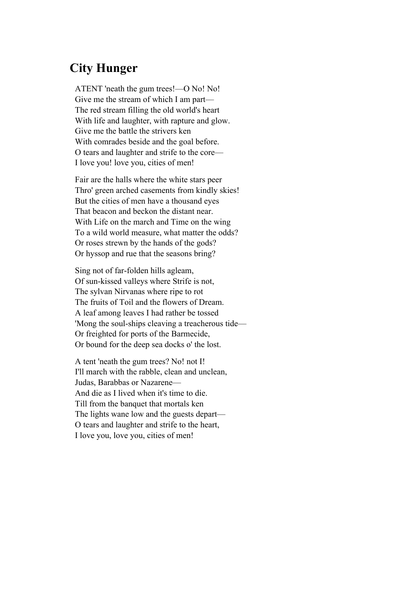## **City Hunger**

ATENT 'neath the gum trees!—O No! No! Give me the stream of which I am part— The red stream filling the old world's heart With life and laughter, with rapture and glow. Give me the battle the strivers ken With comrades beside and the goal before. O tears and laughter and strife to the core— I love you! love you, cities of men!

Fair are the halls where the white stars peer Thro' green arched casements from kindly skies! But the cities of men have a thousand eyes That beacon and beckon the distant near. With Life on the march and Time on the wing To a wild world measure, what matter the odds? Or roses strewn by the hands of the gods? Or hyssop and rue that the seasons bring?

Sing not of far-folden hills agleam, Of sun-kissed valleys where Strife is not, The sylvan Nirvanas where ripe to rot The fruits of Toil and the flowers of Dream. A leaf among leaves I had rather be tossed 'Mong the soul-ships cleaving a treacherous tide— Or freighted for ports of the Barmecide, Or bound for the deep sea docks o' the lost.

A tent 'neath the gum trees? No! not I! I'll march with the rabble, clean and unclean, Judas, Barabbas or Nazarene— And die as I lived when it's time to die. Till from the banquet that mortals ken The lights wane low and the guests depart— O tears and laughter and strife to the heart, I love you, love you, cities of men!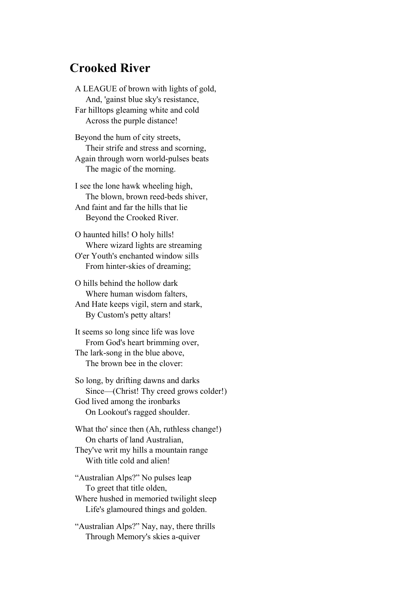#### **Crooked River**

A LEAGUE of brown with lights of gold, And, 'gainst blue sky's resistance, Far hilltops gleaming white and cold Across the purple distance!

Beyond the hum of city streets, Their strife and stress and scorning, Again through worn world-pulses beats The magic of the morning.

I see the lone hawk wheeling high, The blown, brown reed-beds shiver, And faint and far the hills that lie Beyond the Crooked River.

O haunted hills! O holy hills! Where wizard lights are streaming O'er Youth's enchanted window sills From hinter-skies of dreaming;

O hills behind the hollow dark Where human wisdom falters, And Hate keeps vigil, stern and stark, By Custom's petty altars!

It seems so long since life was love From God's heart brimming over, The lark-song in the blue above, The brown bee in the clover:

So long, by drifting dawns and darks Since—(Christ! Thy creed grows colder!) God lived among the ironbarks On Lookout's ragged shoulder.

What tho' since then (Ah, ruthless change!) On charts of land Australian, They've writ my hills a mountain range

With title cold and alien!

"Australian Alps?" No pulses leap To greet that title olden, Where hushed in memoried twilight sleep Life's glamoured things and golden.

"Australian Alps?" Nay, nay, there thrills Through Memory's skies a-quiver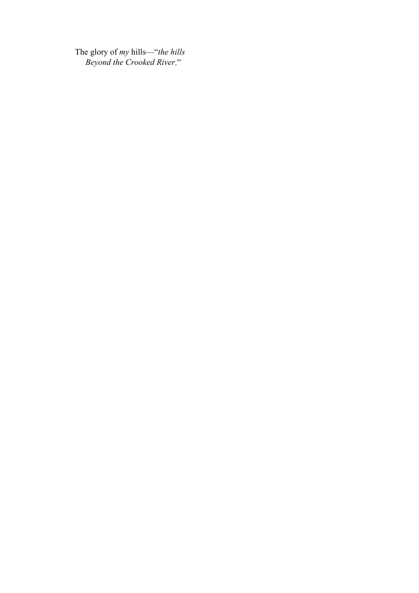The glory of *my* hills—"*the hills Beyond the Crooked River*."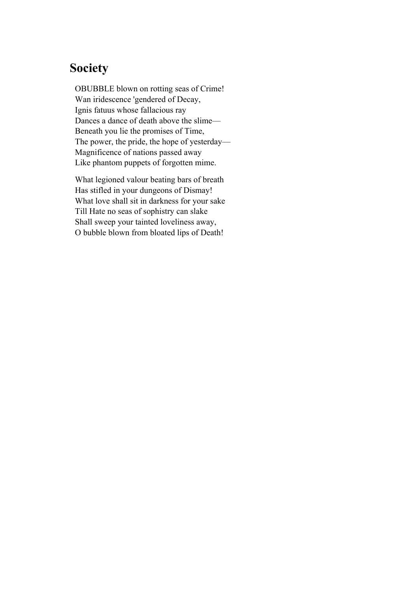## **Society**

OBUBBLE blown on rotting seas of Crime! Wan iridescence 'gendered of Decay, Ignis fatuus whose fallacious ray Dances a dance of death above the slime— Beneath you lie the promises of Time, The power, the pride, the hope of yesterday— Magnificence of nations passed away Like phantom puppets of forgotten mime.

What legioned valour beating bars of breath Has stifled in your dungeons of Dismay! What love shall sit in darkness for your sake Till Hate no seas of sophistry can slake Shall sweep your tainted loveliness away, O bubble blown from bloated lips of Death!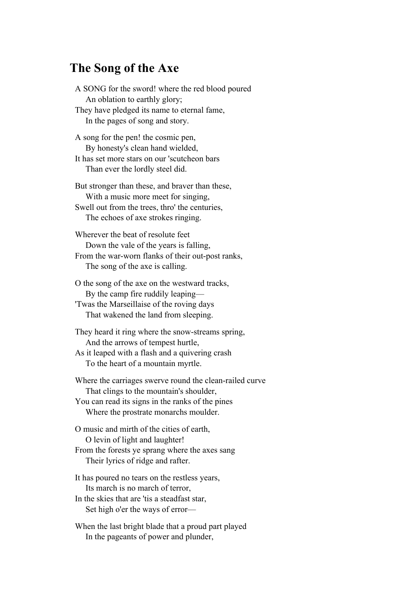#### **The Song of the Axe**

A SONG for the sword! where the red blood poured An oblation to earthly glory; They have pledged its name to eternal fame, In the pages of song and story. A song for the pen! the cosmic pen, By honesty's clean hand wielded, It has set more stars on our 'scutcheon bars Than ever the lordly steel did. But stronger than these, and braver than these, With a music more meet for singing, Swell out from the trees, thro' the centuries, The echoes of axe strokes ringing. Wherever the beat of resolute feet Down the vale of the years is falling, From the war-worn flanks of their out-post ranks, The song of the axe is calling. O the song of the axe on the westward tracks, By the camp fire ruddily leaping— 'Twas the Marseillaise of the roving days That wakened the land from sleeping.

They heard it ring where the snow-streams spring, And the arrows of tempest hurtle, As it leaped with a flash and a quivering crash

To the heart of a mountain myrtle.

Where the carriages swerve round the clean-railed curve That clings to the mountain's shoulder,

You can read its signs in the ranks of the pines Where the prostrate monarchs moulder.

O music and mirth of the cities of earth, O levin of light and laughter! From the forests ye sprang where the axes sang

Their lyrics of ridge and rafter.

It has poured no tears on the restless years, Its march is no march of terror,

In the skies that are 'tis a steadfast star, Set high o'er the ways of error—

When the last bright blade that a proud part played In the pageants of power and plunder,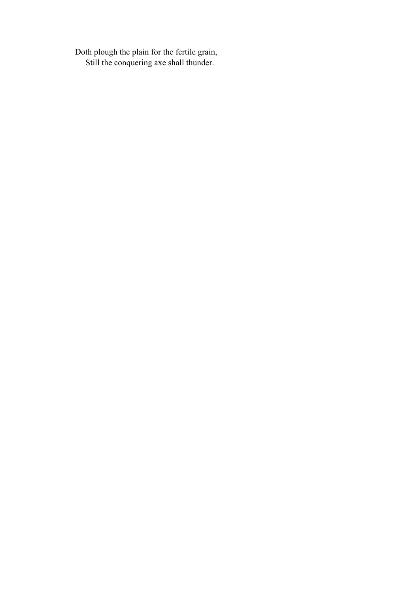Doth plough the plain for the fertile grain, Still the conquering axe shall thunder.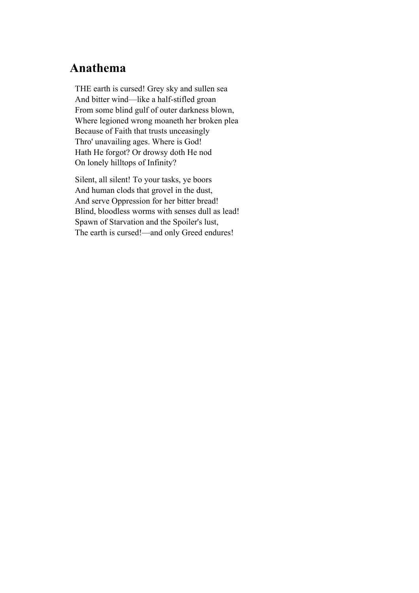#### **Anathema**

THE earth is cursed! Grey sky and sullen sea And bitter wind—like a half-stifled groan From some blind gulf of outer darkness blown, Where legioned wrong moaneth her broken plea Because of Faith that trusts unceasingly Thro' unavailing ages. Where is God! Hath He forgot? Or drowsy doth He nod On lonely hilltops of Infinity?

Silent, all silent! To your tasks, ye boors And human clods that grovel in the dust, And serve Oppression for her bitter bread! Blind, bloodless worms with senses dull as lead! Spawn of Starvation and the Spoiler's lust, The earth is cursed!—and only Greed endures!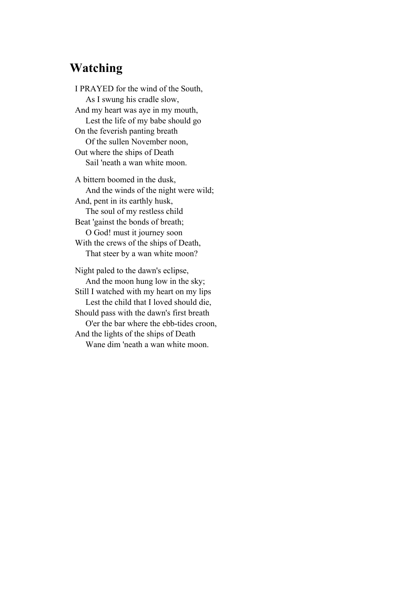### **Watching**

I PRAYED for the wind of the South, As I swung his cradle slow, And my heart was aye in my mouth, Lest the life of my babe should go On the feverish panting breath Of the sullen November noon, Out where the ships of Death Sail 'neath a wan white moon.

A bittern boomed in the dusk, And the winds of the night were wild; And, pent in its earthly husk, The soul of my restless child Beat 'gainst the bonds of breath; O God! must it journey soon With the crews of the ships of Death, That steer by a wan white moon? Night paled to the dawn's eclipse, And the moon hung low in the sky; Still I watched with my heart on my lips Lest the child that I loved should die, Should pass with the dawn's first breath

 O'er the bar where the ebb-tides croon, And the lights of the ships of Death Wane dim 'neath a wan white moon.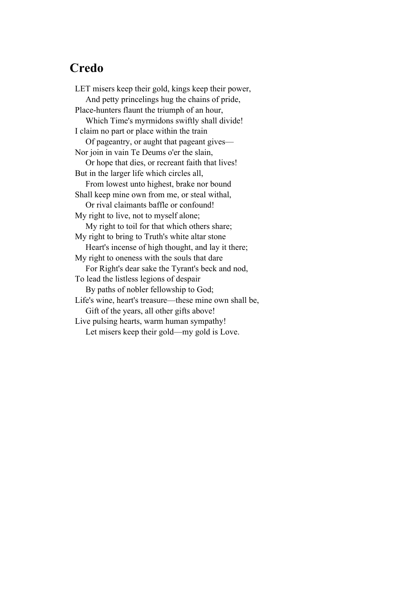#### **Credo**

LET misers keep their gold, kings keep their power, And petty princelings hug the chains of pride, Place-hunters flaunt the triumph of an hour, Which Time's myrmidons swiftly shall divide! I claim no part or place within the train Of pageantry, or aught that pageant gives— Nor join in vain Te Deums o'er the slain, Or hope that dies, or recreant faith that lives! But in the larger life which circles all, From lowest unto highest, brake nor bound Shall keep mine own from me, or steal withal, Or rival claimants baffle or confound! My right to live, not to myself alone; My right to toil for that which others share; My right to bring to Truth's white altar stone Heart's incense of high thought, and lay it there; My right to oneness with the souls that dare For Right's dear sake the Tyrant's beck and nod, To lead the listless legions of despair By paths of nobler fellowship to God; Life's wine, heart's treasure—these mine own shall be, Gift of the years, all other gifts above! Live pulsing hearts, warm human sympathy! Let misers keep their gold—my gold is Love.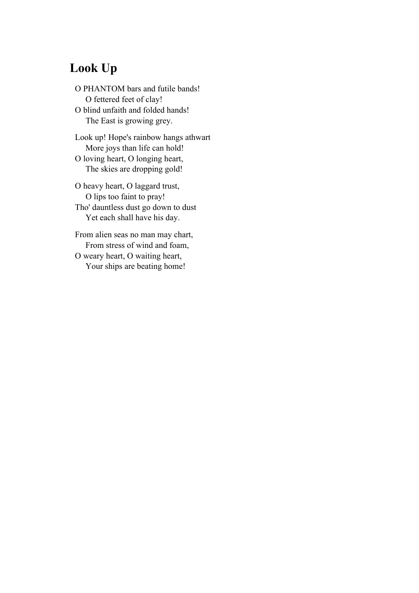## **Look Up**

O PHANTOM bars and futile bands! O fettered feet of clay! O blind unfaith and folded hands! The East is growing grey.

Look up! Hope's rainbow hangs athwart More joys than life can hold! O loving heart, O longing heart, The skies are dropping gold!

O heavy heart, O laggard trust, O lips too faint to pray! Tho' dauntless dust go down to dust Yet each shall have his day.

From alien seas no man may chart, From stress of wind and foam, O weary heart, O waiting heart, Your ships are beating home!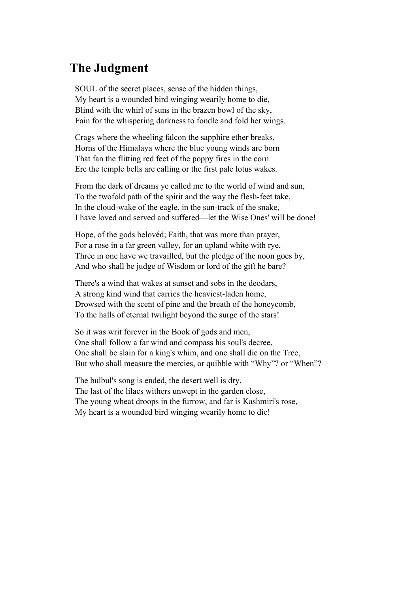### **The Judgment**

SOUL of the secret places, sense of the hidden things, My heart is a wounded bird winging wearily home to die, Blind with the whirl of suns in the brazen bowl of the sky, Fain for the whispering darkness to fondle and fold her wings.

Crags where the wheeling falcon the sapphire ether breaks, Horns of the Himalaya where the blue young winds are born That fan the flitting red feet of the poppy fires in the corn Ere the temple bells are calling or the first pale lotus wakes.

From the dark of dreams ye called me to the world of wind and sun, To the twofold path of the spirit and the way the flesh-feet take, In the cloud-wake of the eagle, in the sun-track of the snake, I have loved and served and suffered—let the Wise Ones' will be done!

Hope, of the gods belovéd; Faith, that was more than prayer, For a rose in a far green valley, for an upland white with rye, Three in one have we travailled, but the pledge of the noon goes by, And who shall be judge of Wisdom or lord of the gift he bare?

There's a wind that wakes at sunset and sobs in the deodars, A strong kind wind that carries the heaviest-laden home, Drowsed with the scent of pine and the breath of the honeycomb, To the halls of eternal twilight beyond the surge of the stars!

So it was writ forever in the Book of gods and men, One shall follow a far wind and compass his soul's decree, One shall be slain for a king's whim, and one shall die on the Tree, But who shall measure the mercies, or quibble with "Why"? or "When"?

The bulbul's song is ended, the desert well is dry, The last of the lilacs withers unwept in the garden close, The young wheat droops in the furrow, and far is Kashmiri's rose, My heart is a wounded bird winging wearily home to die!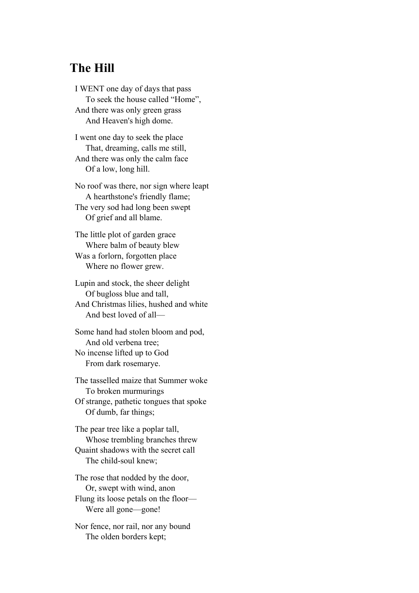#### **The Hill**

I WENT one day of days that pass To seek the house called "Home", And there was only green grass And Heaven's high dome.

I went one day to seek the place That, dreaming, calls me still, And there was only the calm face Of a low, long hill.

No roof was there, nor sign where leapt A hearthstone's friendly flame; The very sod had long been swept Of grief and all blame.

The little plot of garden grace Where balm of beauty blew Was a forlorn, forgotten place Where no flower grew.

Lupin and stock, the sheer delight Of bugloss blue and tall, And Christmas lilies, hushed and white And best loved of all—

Some hand had stolen bloom and pod, And old verbena tree; No incense lifted up to God From dark rosemarye.

The tasselled maize that Summer woke To broken murmurings Of strange, pathetic tongues that spoke Of dumb, far things;

The pear tree like a poplar tall, Whose trembling branches threw Quaint shadows with the secret call The child-soul knew;

The rose that nodded by the door, Or, swept with wind, anon Flung its loose petals on the floor— Were all gone—gone!

Nor fence, nor rail, nor any bound The olden borders kept;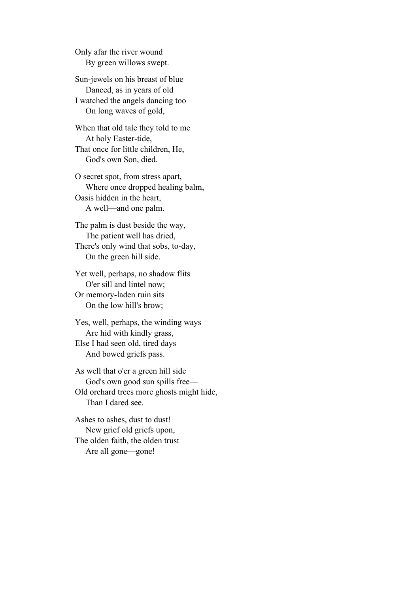Only afar the river wound By green willows swept.

Sun-jewels on his breast of blue Danced, as in years of old I watched the angels dancing too On long waves of gold,

When that old tale they told to me At holy Easter-tide, That once for little children, He, God's own Son, died.

O secret spot, from stress apart, Where once dropped healing balm, Oasis hidden in the heart, A well—and one palm.

The palm is dust beside the way, The patient well has dried, There's only wind that sobs, to-day, On the green hill side.

Yet well, perhaps, no shadow flits O'er sill and lintel now; Or memory-laden ruin sits On the low hill's brow;

Yes, well, perhaps, the winding ways Are hid with kindly grass, Else I had seen old, tired days And bowed griefs pass.

As well that o'er a green hill side God's own good sun spills free— Old orchard trees more ghosts might hide, Than I dared see.

Ashes to ashes, dust to dust! New grief old griefs upon, The olden faith, the olden trust Are all gone—gone!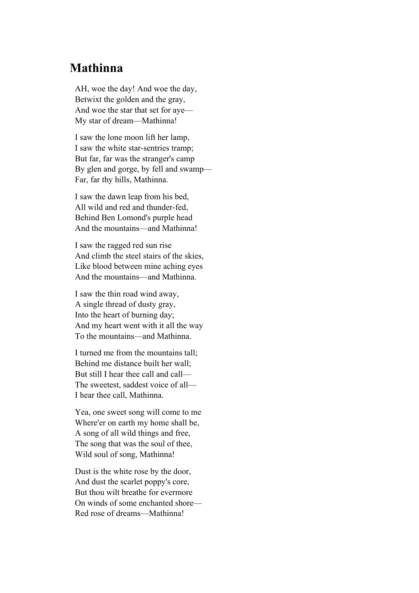## **Mathinna**

AH, woe the day! And woe the day, Betwixt the golden and the gray, And woe the star that set for aye— My star of dream—Mathinna!

I saw the lone moon lift her lamp, I saw the white star-sentries tramp; But far, far was the stranger's camp By glen and gorge, by fell and swamp— Far, far thy hills, Mathinna.

I saw the dawn leap from his bed, All wild and red and thunder-fed, Behind Ben Lomond's purple head And the mountains—and Mathinna!

I saw the ragged red sun rise And climb the steel stairs of the skies, Like blood between mine aching eyes And the mountains—and Mathinna.

I saw the thin road wind away, A single thread of dusty gray, Into the heart of burning day; And my heart went with it all the way To the mountains—and Mathinna.

I turned me from the mountains tall; Behind me distance built her wall; But still I hear thee call and call— The sweetest, saddest voice of all— I hear thee call, Mathinna.

Yea, one sweet song will come to me Where'er on earth my home shall be, A song of all wild things and free, The song that was the soul of thee, Wild soul of song, Mathinna!

Dust is the white rose by the door, And dust the scarlet poppy's core, But thou wilt breathe for evermore On winds of some enchanted shore— Red rose of dreams—Mathinna!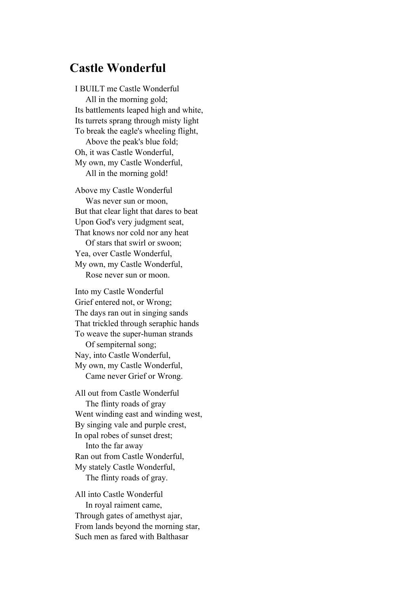### **Castle Wonderful**

I BUILT me Castle Wonderful All in the morning gold; Its battlements leaped high and white, Its turrets sprang through misty light To break the eagle's wheeling flight, Above the peak's blue fold; Oh, it was Castle Wonderful, My own, my Castle Wonderful, All in the morning gold!

Above my Castle Wonderful Was never sun or moon, But that clear light that dares to beat Upon God's very judgment seat, That knows nor cold nor any heat Of stars that swirl or swoon; Yea, over Castle Wonderful, My own, my Castle Wonderful,

Rose never sun or moon.

Into my Castle Wonderful Grief entered not, or Wrong; The days ran out in singing sands That trickled through seraphic hands To weave the super-human strands Of sempiternal song; Nay, into Castle Wonderful, My own, my Castle Wonderful, Came never Grief or Wrong.

All out from Castle Wonderful The flinty roads of gray Went winding east and winding west, By singing vale and purple crest, In opal robes of sunset drest; Into the far away Ran out from Castle Wonderful, My stately Castle Wonderful, The flinty roads of gray.

All into Castle Wonderful In royal raiment came, Through gates of amethyst ajar, From lands beyond the morning star, Such men as fared with Balthasar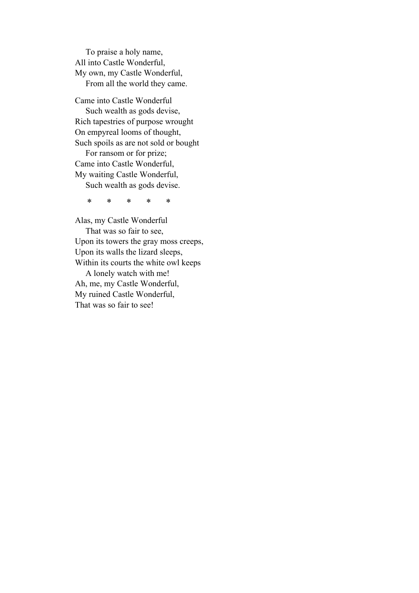To praise a holy name, All into Castle Wonderful, My own, my Castle Wonderful, From all the world they came.

Came into Castle Wonderful Such wealth as gods devise, Rich tapestries of purpose wrought On empyreal looms of thought, Such spoils as are not sold or bought For ransom or for prize; Came into Castle Wonderful, My waiting Castle Wonderful, Such wealth as gods devise.

\* \* \* \* \*

Alas, my Castle Wonderful That was so fair to see, Upon its towers the gray moss creeps, Upon its walls the lizard sleeps, Within its courts the white owl keeps A lonely watch with me! Ah, me, my Castle Wonderful, My ruined Castle Wonderful, That was so fair to see!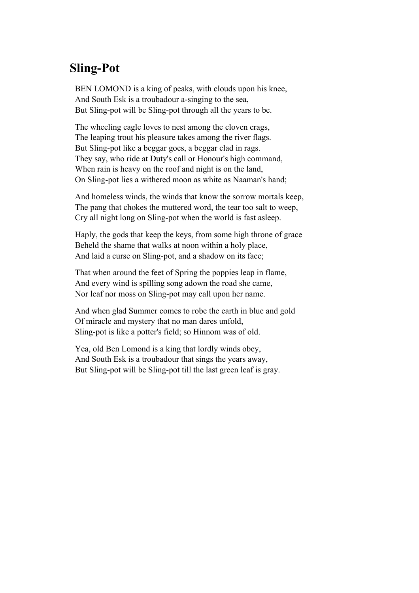#### **Sling-Pot**

BEN LOMOND is a king of peaks, with clouds upon his knee, And South Esk is a troubadour a-singing to the sea, But Sling-pot will be Sling-pot through all the years to be.

The wheeling eagle loves to nest among the cloven crags, The leaping trout his pleasure takes among the river flags. But Sling-pot like a beggar goes, a beggar clad in rags. They say, who ride at Duty's call or Honour's high command, When rain is heavy on the roof and night is on the land, On Sling-pot lies a withered moon as white as Naaman's hand;

And homeless winds, the winds that know the sorrow mortals keep, The pang that chokes the muttered word, the tear too salt to weep, Cry all night long on Sling-pot when the world is fast asleep.

Haply, the gods that keep the keys, from some high throne of grace Beheld the shame that walks at noon within a holy place, And laid a curse on Sling-pot, and a shadow on its face;

That when around the feet of Spring the poppies leap in flame, And every wind is spilling song adown the road she came, Nor leaf nor moss on Sling-pot may call upon her name.

And when glad Summer comes to robe the earth in blue and gold Of miracle and mystery that no man dares unfold, Sling-pot is like a potter's field; so Hinnom was of old.

Yea, old Ben Lomond is a king that lordly winds obey, And South Esk is a troubadour that sings the years away, But Sling-pot will be Sling-pot till the last green leaf is gray.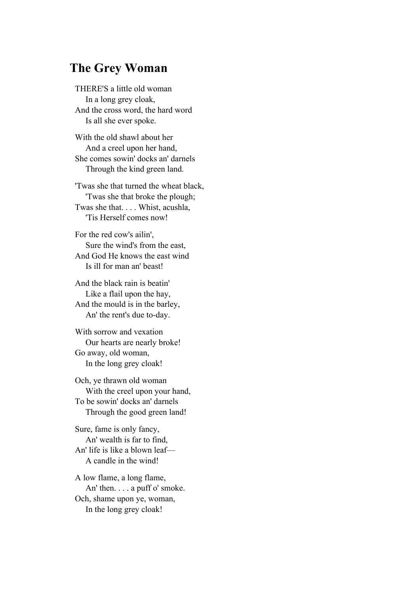#### **The Grey Woman**

THERE'S a little old woman In a long grey cloak, And the cross word, the hard word Is all she ever spoke.

With the old shawl about her And a creel upon her hand, She comes sowin' docks an' darnels Through the kind green land.

'Twas she that turned the wheat black, 'Twas she that broke the plough; Twas she that. . . . Whist, acushla, 'Tis Herself comes now!

For the red cow's ailin', Sure the wind's from the east, And God He knows the east wind Is ill for man an' beast!

And the black rain is beatin' Like a flail upon the hay, And the mould is in the barley, An' the rent's due to-day.

With sorrow and vexation Our hearts are nearly broke! Go away, old woman, In the long grey cloak!

Och, ye thrawn old woman With the creel upon your hand, To be sowin' docks an' darnels Through the good green land!

Sure, fame is only fancy, An' wealth is far to find, An' life is like a blown leaf— A candle in the wind!

A low flame, a long flame, An' then. . . . a puff o' smoke. Och, shame upon ye, woman, In the long grey cloak!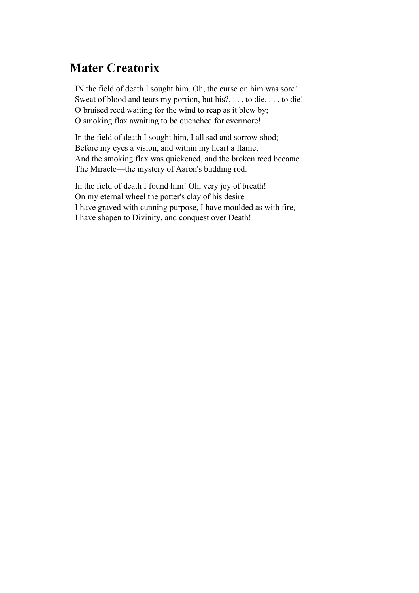## **Mater Creatorix**

IN the field of death I sought him. Oh, the curse on him was sore! Sweat of blood and tears my portion, but his?. . . . to die. . . . to die! O bruised reed waiting for the wind to reap as it blew by; O smoking flax awaiting to be quenched for evermore!

In the field of death I sought him, I all sad and sorrow-shod; Before my eyes a vision, and within my heart a flame; And the smoking flax was quickened, and the broken reed became The Miracle—the mystery of Aaron's budding rod.

In the field of death I found him! Oh, very joy of breath! On my eternal wheel the potter's clay of his desire I have graved with cunning purpose, I have moulded as with fire, I have shapen to Divinity, and conquest over Death!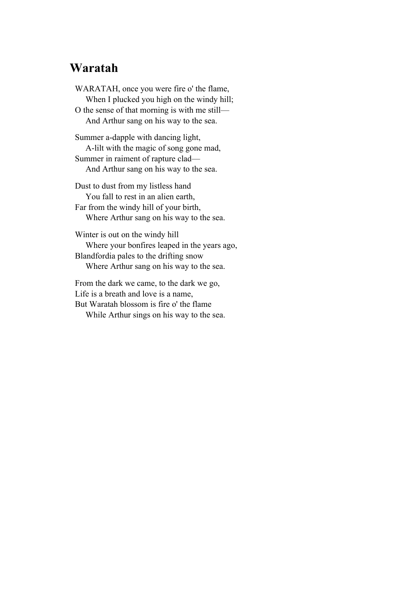#### **Waratah**

WARATAH, once you were fire o' the flame, When I plucked you high on the windy hill; O the sense of that morning is with me still— And Arthur sang on his way to the sea.

Summer a-dapple with dancing light, A-lilt with the magic of song gone mad, Summer in raiment of rapture clad— And Arthur sang on his way to the sea.

Dust to dust from my listless hand You fall to rest in an alien earth, Far from the windy hill of your birth, Where Arthur sang on his way to the sea.

Winter is out on the windy hill Where your bonfires leaped in the years ago, Blandfordia pales to the drifting snow Where Arthur sang on his way to the sea.

From the dark we came, to the dark we go, Life is a breath and love is a name, But Waratah blossom is fire o' the flame While Arthur sings on his way to the sea.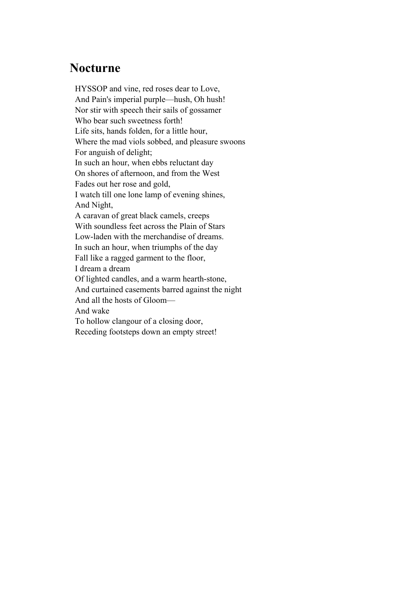#### **Nocturne**

HYSSOP and vine, red roses dear to Love, And Pain's imperial purple—hush, Oh hush! Nor stir with speech their sails of gossamer Who bear such sweetness forth! Life sits, hands folden, for a little hour, Where the mad viols sobbed, and pleasure swoons For anguish of delight; In such an hour, when ebbs reluctant day On shores of afternoon, and from the West Fades out her rose and gold, I watch till one lone lamp of evening shines, And Night, A caravan of great black camels, creeps With soundless feet across the Plain of Stars Low-laden with the merchandise of dreams. In such an hour, when triumphs of the day Fall like a ragged garment to the floor, I dream a dream Of lighted candles, and a warm hearth-stone, And curtained casements barred against the night And all the hosts of Gloom— And wake To hollow clangour of a closing door, Receding footsteps down an empty street!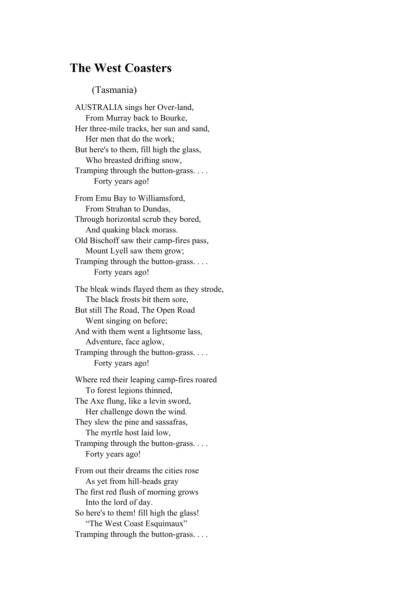#### **The West Coasters**

#### (Tasmania)

AUSTRALIA sings her Over-land, From Murray back to Bourke, Her three-mile tracks, her sun and sand, Her men that do the work; But here's to them, fill high the glass, Who breasted drifting snow, Tramping through the button-grass. . . . Forty years ago!

From Emu Bay to Williamsford, From Strahan to Dundas, Through horizontal scrub they bored, And quaking black morass. Old Bischoff saw their camp-fires pass, Mount Lyell saw them grow; Tramping through the button-grass. . . . Forty years ago!

The bleak winds flayed them as they strode, The black frosts bit them sore, But still The Road, The Open Road Went singing on before; And with them went a lightsome lass, Adventure, face aglow, Tramping through the button-grass. . . . Forty years ago!

Where red their leaping camp-fires roared To forest legions thinned, The Axe flung, like a levin sword, Her challenge down the wind. They slew the pine and sassafras, The myrtle host laid low, Tramping through the button-grass. . . . Forty years ago! From out their dreams the cities rose As yet from hill-heads gray The first red flush of morning grows

 Into the lord of day. So here's to them! fill high the glass! "The West Coast Esquimaux" Tramping through the button-grass. . . .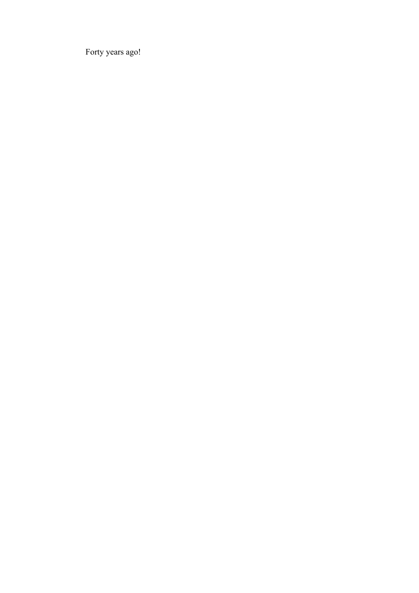Forty years ago!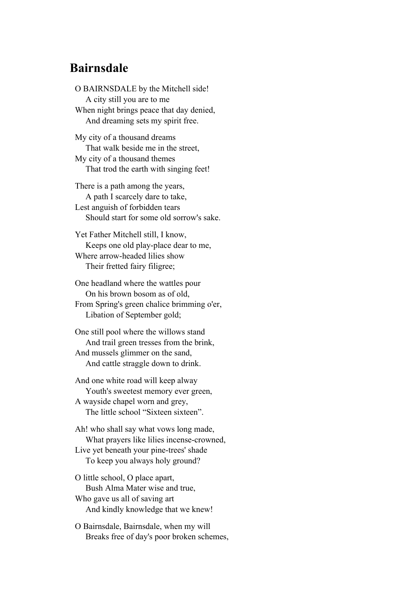#### **Bairnsdale**

O BAIRNSDALE by the Mitchell side! A city still you are to me When night brings peace that day denied, And dreaming sets my spirit free.

My city of a thousand dreams That walk beside me in the street, My city of a thousand themes That trod the earth with singing feet!

There is a path among the years, A path I scarcely dare to take, Lest anguish of forbidden tears Should start for some old sorrow's sake.

Yet Father Mitchell still, I know, Keeps one old play-place dear to me, Where arrow-headed lilies show Their fretted fairy filigree;

One headland where the wattles pour On his brown bosom as of old, From Spring's green chalice brimming o'er, Libation of September gold;

One still pool where the willows stand And trail green tresses from the brink, And mussels glimmer on the sand, And cattle straggle down to drink.

And one white road will keep alway Youth's sweetest memory ever green, A wayside chapel worn and grey, The little school "Sixteen sixteen".

Ah! who shall say what vows long made, What prayers like lilies incense-crowned, Live yet beneath your pine-trees' shade To keep you always holy ground?

O little school, O place apart, Bush Alma Mater wise and true, Who gave us all of saving art And kindly knowledge that we knew!

O Bairnsdale, Bairnsdale, when my will Breaks free of day's poor broken schemes,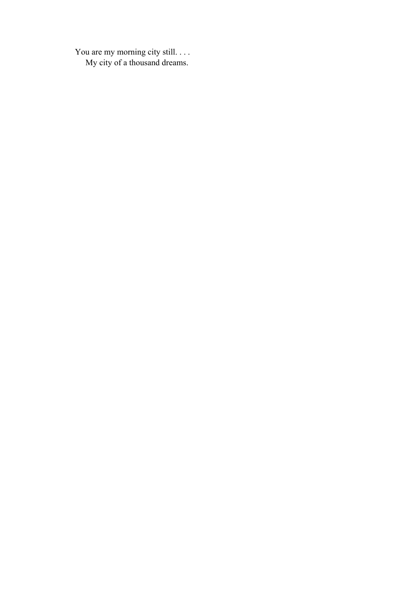You are my morning city still. . . . My city of a thousand dreams.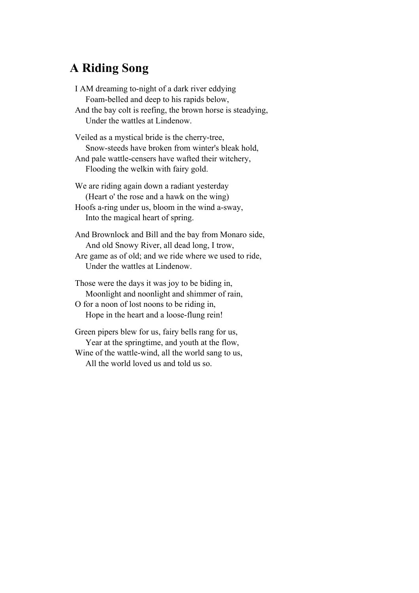### **A Riding Song**

I AM dreaming to-night of a dark river eddying Foam-belled and deep to his rapids below, And the bay colt is reefing, the brown horse is steadying, Under the wattles at Lindenow. Veiled as a mystical bride is the cherry-tree, Snow-steeds have broken from winter's bleak hold, And pale wattle-censers have wafted their witchery, Flooding the welkin with fairy gold. We are riding again down a radiant yesterday (Heart o' the rose and a hawk on the wing) Hoofs a-ring under us, bloom in the wind a-sway, Into the magical heart of spring. And Brownlock and Bill and the bay from Monaro side, And old Snowy River, all dead long, I trow, Are game as of old; and we ride where we used to ride, Under the wattles at Lindenow. Those were the days it was joy to be biding in, Moonlight and noonlight and shimmer of rain, O for a noon of lost noons to be riding in,

Hope in the heart and a loose-flung rein!

Green pipers blew for us, fairy bells rang for us, Year at the springtime, and youth at the flow, Wine of the wattle-wind, all the world sang to us, All the world loved us and told us so.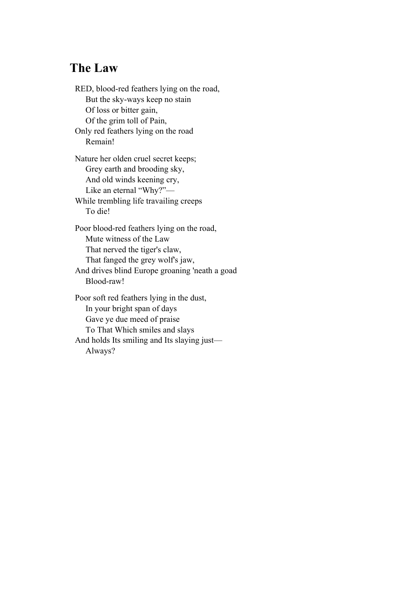### **The Law**

RED, blood-red feathers lying on the road, But the sky-ways keep no stain Of loss or bitter gain, Of the grim toll of Pain, Only red feathers lying on the road Remain! Nature her olden cruel secret keeps; Grey earth and brooding sky, And old winds keening cry, Like an eternal "Why?"— While trembling life travailing creeps To die! Poor blood-red feathers lying on the road, Mute witness of the Law That nerved the tiger's claw, That fanged the grey wolf's jaw, And drives blind Europe groaning 'neath a goad Blood-raw! Poor soft red feathers lying in the dust, In your bright span of days Gave ye due meed of praise To That Which smiles and slays And holds Its smiling and Its slaying just—

Always?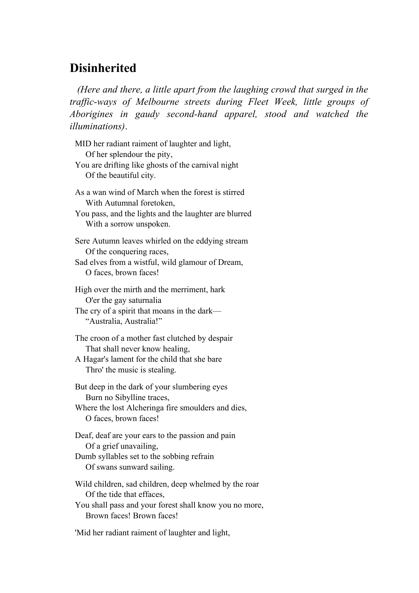### **Disinherited**

 *(Here and there, a little apart from the laughing crowd that surged in the traffic-ways of Melbourne streets during Fleet Week, little groups of Aborigines in gaudy second-hand apparel, stood and watched the illuminations)*.

- MID her radiant raiment of laughter and light, Of her splendour the pity, You are drifting like ghosts of the carnival night Of the beautiful city. As a wan wind of March when the forest is stirred With Autumnal foretoken, You pass, and the lights and the laughter are blurred With a sorrow unspoken. Sere Autumn leaves whirled on the eddying stream Of the conquering races, Sad elves from a wistful, wild glamour of Dream, O faces, brown faces! High over the mirth and the merriment, hark O'er the gay saturnalia The cry of a spirit that moans in the dark— "Australia, Australia!" The croon of a mother fast clutched by despair That shall never know healing, A Hagar's lament for the child that she bare Thro' the music is stealing. But deep in the dark of your slumbering eyes Burn no Sibylline traces, Where the lost Alcheringa fire smoulders and dies, O faces, brown faces! Deaf, deaf are your ears to the passion and pain Of a grief unavailing, Dumb syllables set to the sobbing refrain Of swans sunward sailing. Wild children, sad children, deep whelmed by the roar Of the tide that effaces, You shall pass and your forest shall know you no more, Brown faces! Brown faces!
- 'Mid her radiant raiment of laughter and light,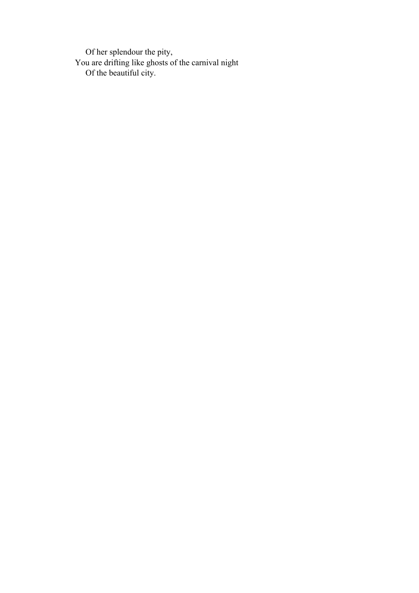Of her splendour the pity, You are drifting like ghosts of the carnival night Of the beautiful city.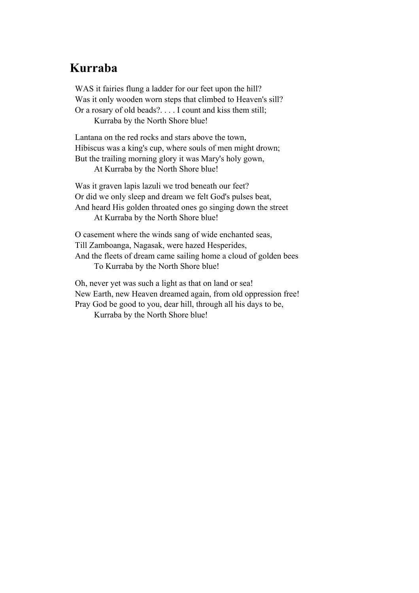#### **Kurraba**

WAS it fairies flung a ladder for our feet upon the hill? Was it only wooden worn steps that climbed to Heaven's sill? Or a rosary of old beads?. . . . I count and kiss them still; Kurraba by the North Shore blue!

Lantana on the red rocks and stars above the town, Hibiscus was a king's cup, where souls of men might drown; But the trailing morning glory it was Mary's holy gown,

At Kurraba by the North Shore blue!

Was it graven lapis lazuli we trod beneath our feet? Or did we only sleep and dream we felt God's pulses beat, And heard His golden throated ones go singing down the street At Kurraba by the North Shore blue!

O casement where the winds sang of wide enchanted seas, Till Zamboanga, Nagasak, were hazed Hesperides, And the fleets of dream came sailing home a cloud of golden bees To Kurraba by the North Shore blue!

Oh, never yet was such a light as that on land or sea! New Earth, new Heaven dreamed again, from old oppression free! Pray God be good to you, dear hill, through all his days to be,

Kurraba by the North Shore blue!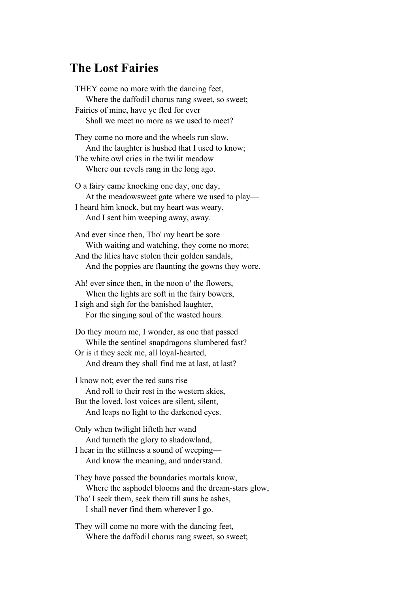#### **The Lost Fairies**

THEY come no more with the dancing feet, Where the daffodil chorus rang sweet, so sweet; Fairies of mine, have ye fled for ever Shall we meet no more as we used to meet? They come no more and the wheels run slow, And the laughter is hushed that I used to know; The white owl cries in the twilit meadow Where our revels rang in the long ago. O a fairy came knocking one day, one day, At the meadowsweet gate where we used to play— I heard him knock, but my heart was weary,

And I sent him weeping away, away.

And ever since then, Tho' my heart be sore With waiting and watching, they come no more; And the lilies have stolen their golden sandals, And the poppies are flaunting the gowns they wore.

Ah! ever since then, in the noon o' the flowers, When the lights are soft in the fairy bowers, I sigh and sigh for the banished laughter, For the singing soul of the wasted hours.

Do they mourn me, I wonder, as one that passed While the sentinel snapdragons slumbered fast? Or is it they seek me, all loyal-hearted, And dream they shall find me at last, at last?

I know not; ever the red suns rise And roll to their rest in the western skies, But the loved, lost voices are silent, silent, And leaps no light to the darkened eyes.

Only when twilight lifteth her wand And turneth the glory to shadowland, I hear in the stillness a sound of weeping— And know the meaning, and understand.

They have passed the boundaries mortals know, Where the asphodel blooms and the dream-stars glow, Tho' I seek them, seek them till suns be ashes, I shall never find them wherever I go.

They will come no more with the dancing feet, Where the daffodil chorus rang sweet, so sweet;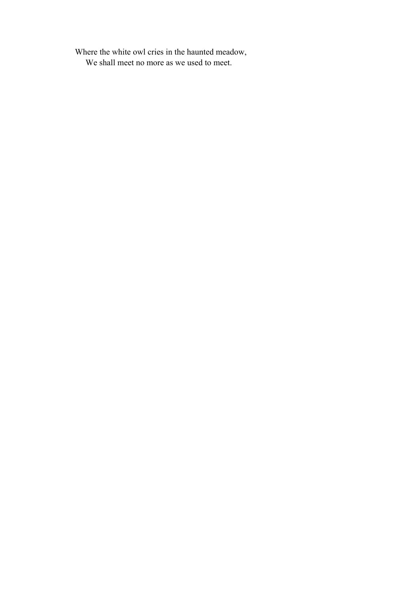Where the white owl cries in the haunted meadow, We shall meet no more as we used to meet.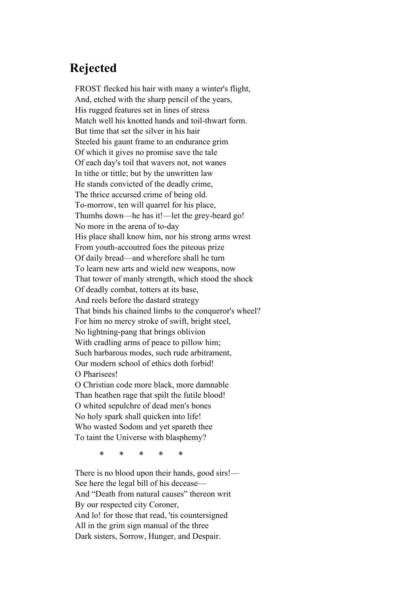### **Rejected**

FROST flecked his hair with many a winter's flight, And, etched with the sharp pencil of the years, His rugged features set in lines of stress Match well his knotted hands and toil-thwart form. But time that set the silver in his hair Steeled his gaunt frame to an endurance grim Of which it gives no promise save the tale Of each day's toil that wavers not, not wanes In tithe or tittle; but by the unwritten law He stands convicted of the deadly crime, The thrice accursed crime of being old. To-morrow, ten will quarrel for his place, Thumbs down—he has it!—let the grey-beard go! No more in the arena of to-day His place shall know him, nor his strong arms wrest From youth-accoutred foes the piteous prize Of daily bread—and wherefore shall he turn To learn new arts and wield new weapons, now That tower of manly strength, which stood the shock Of deadly combat, totters at its base, And reels before the dastard strategy That binds his chained limbs to the conqueror's wheel? For him no mercy stroke of swift, bright steel, No lightning-pang that brings oblivion With cradling arms of peace to pillow him; Such barbarous modes, such rude arbitrament, Our modern school of ethics doth forbid! O Pharisees! O Christian code more black, more damnable Than heathen rage that spilt the futile blood! O whited sepulchre of dead men's bones No holy spark shall quicken into life! Who wasted Sodom and yet spareth thee

To taint the Universe with blasphemy?

\* \* \* \* \*

There is no blood upon their hands, good sirs!— See here the legal bill of his decease— And "Death from natural causes" thereon writ By our respected city Coroner, And lo! for those that read, 'tis countersigned All in the grim sign manual of the three Dark sisters, Sorrow, Hunger, and Despair.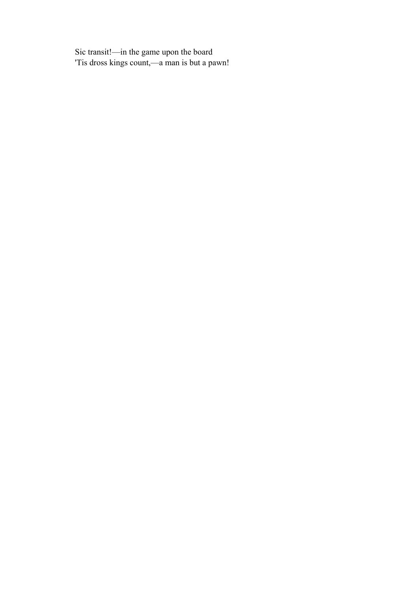Sic transit!—in the game upon the board 'Tis dross kings count,—a man is but a pawn!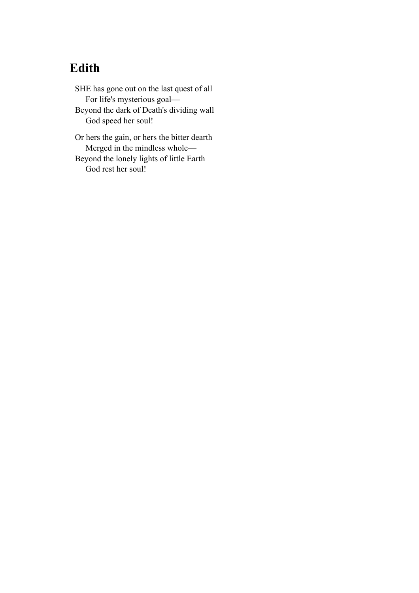# **Edith**

SHE has gone out on the last quest of all For life's mysterious goal— Beyond the dark of Death's dividing wall God speed her soul!

Or hers the gain, or hers the bitter dearth Merged in the mindless whole— Beyond the lonely lights of little Earth God rest her soul!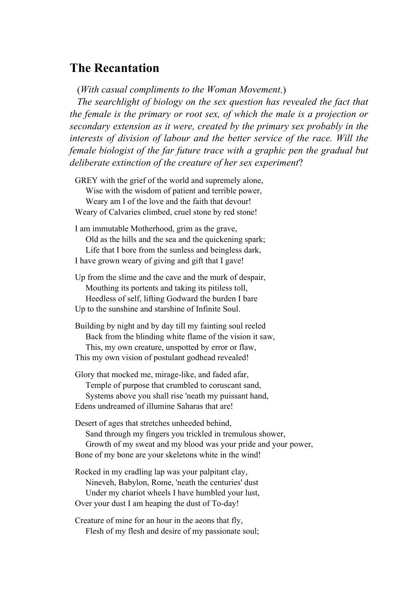#### **The Recantation**

(*With casual compliments to the Woman Movement*.)

 *The searchlight of biology on the sex question has revealed the fact that the female is the primary or root sex, of which the male is a projection or secondary extension as it were, created by the primary sex probably in the interests of division of labour and the better service of the race. Will the female biologist of the far future trace with a graphic pen the gradual but deliberate extinction of the creature of her sex experiment*?

GREY with the grief of the world and supremely alone, Wise with the wisdom of patient and terrible power, Weary am I of the love and the faith that devour! Weary of Calvaries climbed, cruel stone by red stone!

I am immutable Motherhood, grim as the grave, Old as the hills and the sea and the quickening spark; Life that I bore from the sunless and beingless dark, I have grown weary of giving and gift that I gave!

Up from the slime and the cave and the murk of despair, Mouthing its portents and taking its pitiless toll, Heedless of self, lifting Godward the burden I bare Up to the sunshine and starshine of Infinite Soul.

Building by night and by day till my fainting soul reeled Back from the blinding white flame of the vision it saw, This, my own creature, unspotted by error or flaw, This my own vision of postulant godhead revealed!

Glory that mocked me, mirage-like, and faded afar, Temple of purpose that crumbled to coruscant sand, Systems above you shall rise 'neath my puissant hand, Edens undreamed of illumine Saharas that are!

Desert of ages that stretches unheeded behind, Sand through my fingers you trickled in tremulous shower, Growth of my sweat and my blood was your pride and your power, Bone of my bone are your skeletons white in the wind!

Rocked in my cradling lap was your palpitant clay, Nineveh, Babylon, Rome, 'neath the centuries' dust Under my chariot wheels I have humbled your lust, Over your dust I am heaping the dust of To-day!

Creature of mine for an hour in the aeons that fly, Flesh of my flesh and desire of my passionate soul;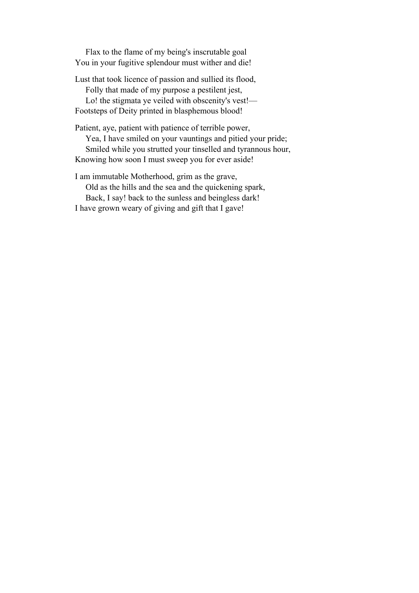Flax to the flame of my being's inscrutable goal You in your fugitive splendour must wither and die!

Lust that took licence of passion and sullied its flood, Folly that made of my purpose a pestilent jest, Lo! the stigmata ye veiled with obscenity's vest!— Footsteps of Deity printed in blasphemous blood!

Patient, aye, patient with patience of terrible power, Yea, I have smiled on your vauntings and pitied your pride; Smiled while you strutted your tinselled and tyrannous hour, Knowing how soon I must sweep you for ever aside!

I am immutable Motherhood, grim as the grave, Old as the hills and the sea and the quickening spark, Back, I say! back to the sunless and beingless dark! I have grown weary of giving and gift that I gave!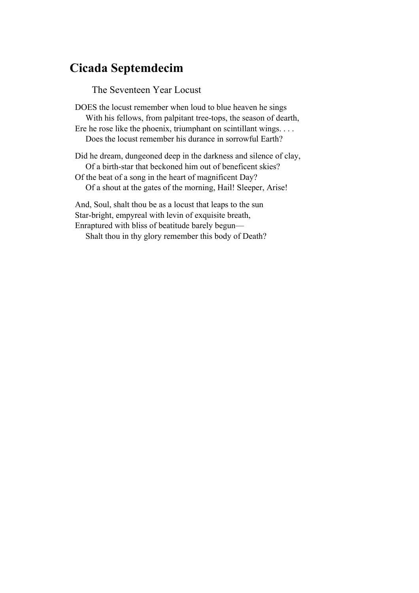### **Cicada Septemdecim**

The Seventeen Year Locust

DOES the locust remember when loud to blue heaven he sings With his fellows, from palpitant tree-tops, the season of dearth, Ere he rose like the phoenix, triumphant on scintillant wings. . . . Does the locust remember his durance in sorrowful Earth?

Did he dream, dungeoned deep in the darkness and silence of clay, Of a birth-star that beckoned him out of beneficent skies? Of the beat of a song in the heart of magnificent Day?

Of a shout at the gates of the morning, Hail! Sleeper, Arise!

And, Soul, shalt thou be as a locust that leaps to the sun Star-bright, empyreal with levin of exquisite breath, Enraptured with bliss of beatitude barely begun—

Shalt thou in thy glory remember this body of Death?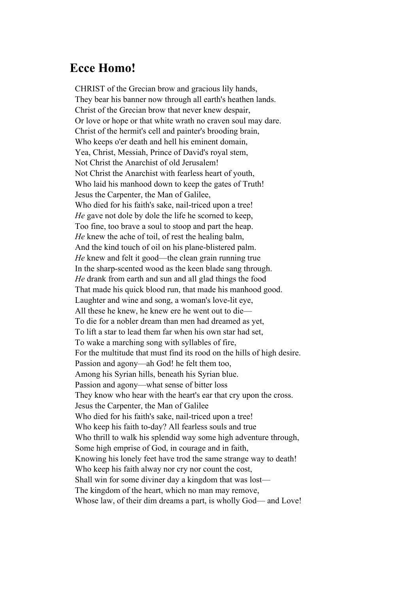#### **Ecce Homo!**

CHRIST of the Grecian brow and gracious lily hands, They bear his banner now through all earth's heathen lands. Christ of the Grecian brow that never knew despair, Or love or hope or that white wrath no craven soul may dare. Christ of the hermit's cell and painter's brooding brain, Who keeps o'er death and hell his eminent domain, Yea, Christ, Messiah, Prince of David's royal stem, Not Christ the Anarchist of old Jerusalem! Not Christ the Anarchist with fearless heart of youth, Who laid his manhood down to keep the gates of Truth! Jesus the Carpenter, the Man of Galilee, Who died for his faith's sake, nail-triced upon a tree! *He* gave not dole by dole the life he scorned to keep, Too fine, too brave a soul to stoop and part the heap. *He* knew the ache of toil, of rest the healing balm, And the kind touch of oil on his plane-blistered palm. *He* knew and felt it good—the clean grain running true In the sharp-scented wood as the keen blade sang through. *He* drank from earth and sun and all glad things the food That made his quick blood run, that made his manhood good. Laughter and wine and song, a woman's love-lit eye, All these he knew, he knew ere he went out to die— To die for a nobler dream than men had dreamed as yet, To lift a star to lead them far when his own star had set, To wake a marching song with syllables of fire, For the multitude that must find its rood on the hills of high desire. Passion and agony—ah God! he felt them too, Among his Syrian hills, beneath his Syrian blue. Passion and agony—what sense of bitter loss They know who hear with the heart's ear that cry upon the cross. Jesus the Carpenter, the Man of Galilee Who died for his faith's sake, nail-triced upon a tree! Who keep his faith to-day? All fearless souls and true Who thrill to walk his splendid way some high adventure through, Some high emprise of God, in courage and in faith, Knowing his lonely feet have trod the same strange way to death! Who keep his faith alway nor cry nor count the cost, Shall win for some diviner day a kingdom that was lost— The kingdom of the heart, which no man may remove, Whose law, of their dim dreams a part, is wholly God— and Love!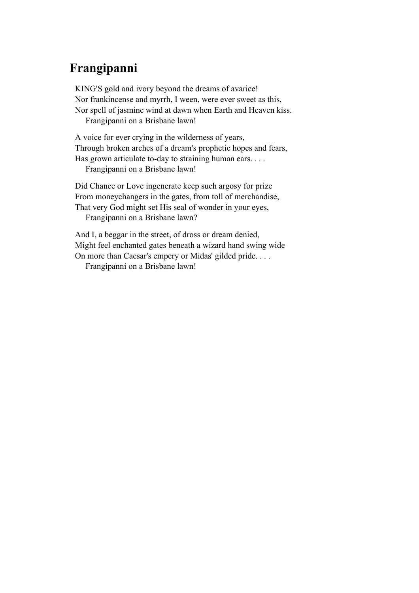# **Frangipanni**

KING'S gold and ivory beyond the dreams of avarice! Nor frankincense and myrrh, I ween, were ever sweet as this, Nor spell of jasmine wind at dawn when Earth and Heaven kiss. Frangipanni on a Brisbane lawn!

A voice for ever crying in the wilderness of years, Through broken arches of a dream's prophetic hopes and fears, Has grown articulate to-day to straining human ears. . . . Frangipanni on a Brisbane lawn!

Did Chance or Love ingenerate keep such argosy for prize From moneychangers in the gates, from toll of merchandise, That very God might set His seal of wonder in your eyes,

Frangipanni on a Brisbane lawn?

And I, a beggar in the street, of dross or dream denied, Might feel enchanted gates beneath a wizard hand swing wide On more than Caesar's empery or Midas' gilded pride. . . .

Frangipanni on a Brisbane lawn!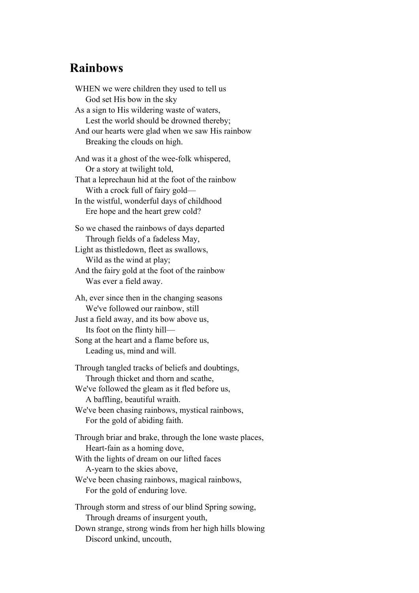### **Rainbows**

WHEN we were children they used to tell us God set His bow in the sky As a sign to His wildering waste of waters, Lest the world should be drowned thereby; And our hearts were glad when we saw His rainbow Breaking the clouds on high. And was it a ghost of the wee-folk whispered, Or a story at twilight told, That a leprechaun hid at the foot of the rainbow With a crock full of fairy gold— In the wistful, wonderful days of childhood Ere hope and the heart grew cold? So we chased the rainbows of days departed Through fields of a fadeless May, Light as thistledown, fleet as swallows, Wild as the wind at play; And the fairy gold at the foot of the rainbow Was ever a field away. Ah, ever since then in the changing seasons We've followed our rainbow, still Just a field away, and its bow above us, Its foot on the flinty hill— Song at the heart and a flame before us, Leading us, mind and will. Through tangled tracks of beliefs and doubtings, Through thicket and thorn and scathe, We've followed the gleam as it fled before us, A baffling, beautiful wraith. We've been chasing rainbows, mystical rainbows, For the gold of abiding faith. Through briar and brake, through the lone waste places, Heart-fain as a homing dove, With the lights of dream on our lifted faces A-yearn to the skies above, We've been chasing rainbows, magical rainbows, For the gold of enduring love. Through storm and stress of our blind Spring sowing, Through dreams of insurgent youth, Down strange, strong winds from her high hills blowing Discord unkind, uncouth,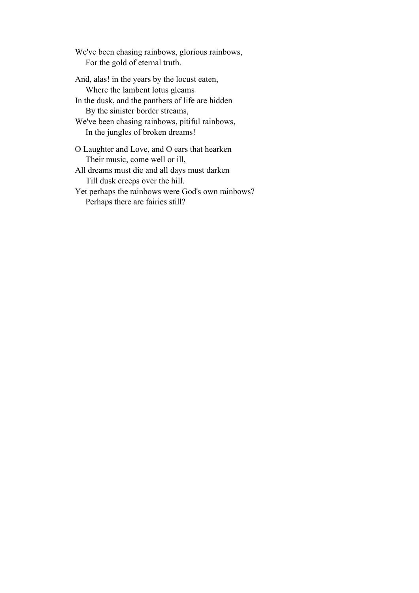We've been chasing rainbows, glorious rainbows, For the gold of eternal truth.

And, alas! in the years by the locust eaten, Where the lambent lotus gleams In the dusk, and the panthers of life are hidden By the sinister border streams, We've been chasing rainbows, pitiful rainbows, In the jungles of broken dreams!

O Laughter and Love, and O ears that hearken Their music, come well or ill,

All dreams must die and all days must darken Till dusk creeps over the hill.

Yet perhaps the rainbows were God's own rainbows? Perhaps there are fairies still?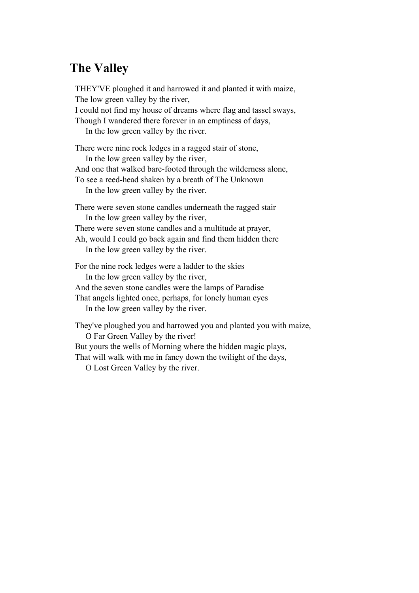# **The Valley**

THEY'VE ploughed it and harrowed it and planted it with maize, The low green valley by the river, I could not find my house of dreams where flag and tassel sways, Though I wandered there forever in an emptiness of days, In the low green valley by the river. There were nine rock ledges in a ragged stair of stone, In the low green valley by the river, And one that walked bare-footed through the wilderness alone, To see a reed-head shaken by a breath of The Unknown In the low green valley by the river. There were seven stone candles underneath the ragged stair In the low green valley by the river, There were seven stone candles and a multitude at prayer, Ah, would I could go back again and find them hidden there In the low green valley by the river. For the nine rock ledges were a ladder to the skies In the low green valley by the river, And the seven stone candles were the lamps of Paradise That angels lighted once, perhaps, for lonely human eyes In the low green valley by the river. They've ploughed you and harrowed you and planted you with maize, O Far Green Valley by the river!

But yours the wells of Morning where the hidden magic plays,

That will walk with me in fancy down the twilight of the days,

O Lost Green Valley by the river.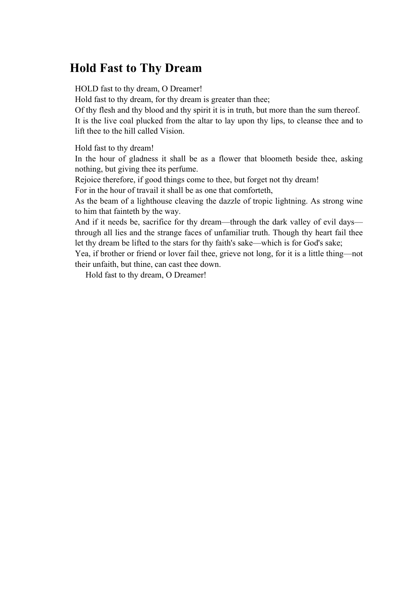## **Hold Fast to Thy Dream**

HOLD fast to thy dream, O Dreamer!

Hold fast to thy dream, for thy dream is greater than thee;

Of thy flesh and thy blood and thy spirit it is in truth, but more than the sum thereof. It is the live coal plucked from the altar to lay upon thy lips, to cleanse thee and to lift thee to the hill called Vision.

Hold fast to thy dream!

In the hour of gladness it shall be as a flower that bloometh beside thee, asking nothing, but giving thee its perfume.

Rejoice therefore, if good things come to thee, but forget not thy dream!

For in the hour of travail it shall be as one that comforteth,

As the beam of a lighthouse cleaving the dazzle of tropic lightning. As strong wine to him that fainteth by the way.

And if it needs be, sacrifice for thy dream—through the dark valley of evil days through all lies and the strange faces of unfamiliar truth. Though thy heart fail thee let thy dream be lifted to the stars for thy faith's sake—which is for God's sake;

Yea, if brother or friend or lover fail thee, grieve not long, for it is a little thing—not their unfaith, but thine, can cast thee down.

Hold fast to thy dream, O Dreamer!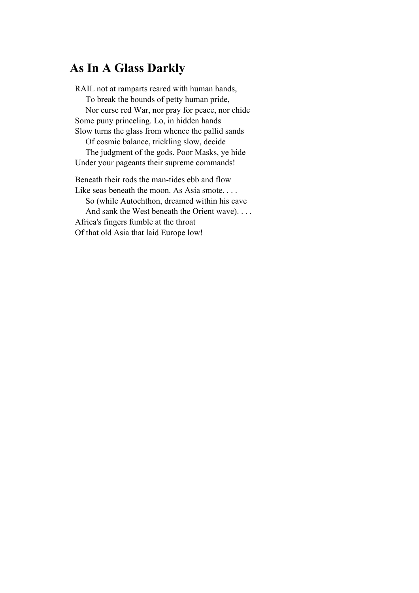### **As In A Glass Darkly**

RAIL not at ramparts reared with human hands, To break the bounds of petty human pride, Nor curse red War, nor pray for peace, nor chide Some puny princeling. Lo, in hidden hands Slow turns the glass from whence the pallid sands Of cosmic balance, trickling slow, decide The judgment of the gods. Poor Masks, ye hide Under your pageants their supreme commands! Beneath their rods the man-tides ebb and flow

Like seas beneath the moon. As Asia smote. . . . So (while Autochthon, dreamed within his cave And sank the West beneath the Orient wave). . . . Africa's fingers fumble at the throat Of that old Asia that laid Europe low!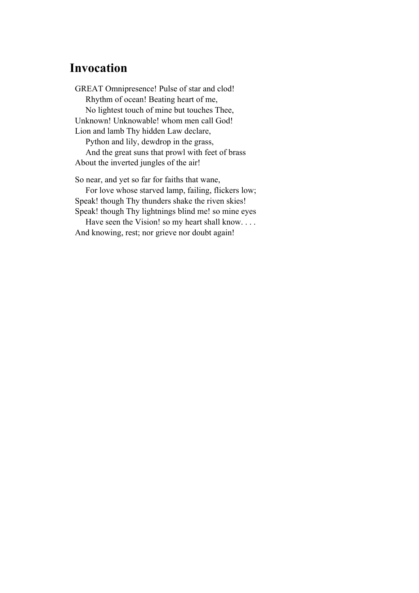## **Invocation**

GREAT Omnipresence! Pulse of star and clod! Rhythm of ocean! Beating heart of me, No lightest touch of mine but touches Thee, Unknown! Unknowable! whom men call God! Lion and lamb Thy hidden Law declare, Python and lily, dewdrop in the grass, And the great suns that prowl with feet of brass

About the inverted jungles of the air!

So near, and yet so far for faiths that wane,

 For love whose starved lamp, failing, flickers low; Speak! though Thy thunders shake the riven skies! Speak! though Thy lightnings blind me! so mine eyes

Have seen the Vision! so my heart shall know.... And knowing, rest; nor grieve nor doubt again!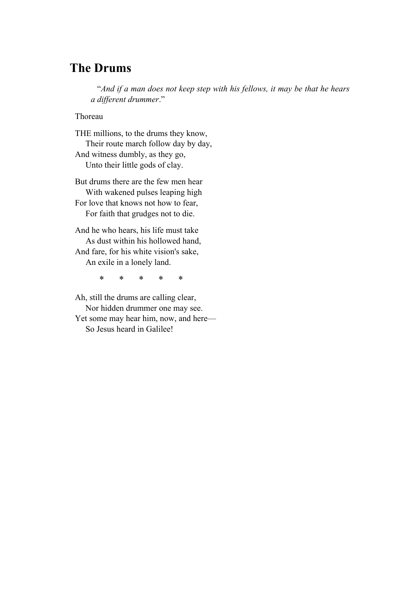### **The Drums**

 "*And if a man does not keep step with his fellows, it may be that he hears a different drummer*."

Thoreau

THE millions, to the drums they know, Their route march follow day by day, And witness dumbly, as they go, Unto their little gods of clay.

But drums there are the few men hear With wakened pulses leaping high For love that knows not how to fear, For faith that grudges not to die.

And he who hears, his life must take As dust within his hollowed hand, And fare, for his white vision's sake, An exile in a lonely land.

\* \* \* \* \*

Ah, still the drums are calling clear, Nor hidden drummer one may see. Yet some may hear him, now, and here— So Jesus heard in Galilee!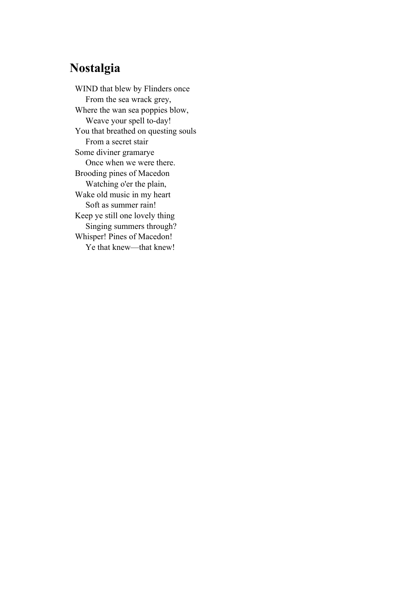## **Nostalgia**

WIND that blew by Flinders once From the sea wrack grey, Where the wan sea poppies blow, Weave your spell to-day! You that breathed on questing souls From a secret stair Some diviner gramarye Once when we were there. Brooding pines of Macedon Watching o'er the plain, Wake old music in my heart Soft as summer rain! Keep ye still one lovely thing Singing summers through? Whisper! Pines of Macedon! Ye that knew—that knew!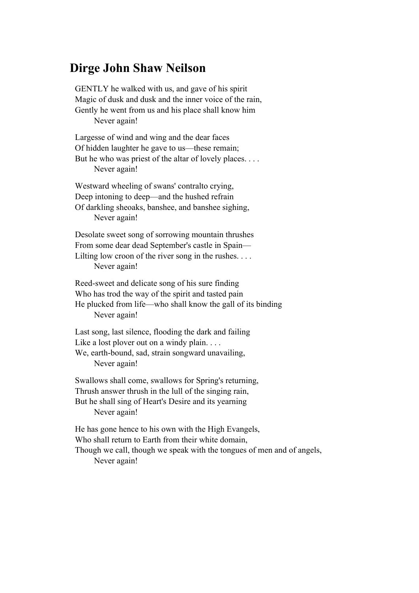#### **Dirge John Shaw Neilson**

GENTLY he walked with us, and gave of his spirit Magic of dusk and dusk and the inner voice of the rain, Gently he went from us and his place shall know him Never again!

Largesse of wind and wing and the dear faces Of hidden laughter he gave to us—these remain; But he who was priest of the altar of lovely places. . . . Never again!

Westward wheeling of swans' contralto crying, Deep intoning to deep—and the hushed refrain Of darkling sheoaks, banshee, and banshee sighing, Never again!

Desolate sweet song of sorrowing mountain thrushes From some dear dead September's castle in Spain— Lilting low croon of the river song in the rushes. . . . Never again!

Reed-sweet and delicate song of his sure finding Who has trod the way of the spirit and tasted pain He plucked from life—who shall know the gall of its binding Never again!

Last song, last silence, flooding the dark and failing Like a lost plover out on a windy plain. . . . We, earth-bound, sad, strain songward unavailing, Never again!

Swallows shall come, swallows for Spring's returning, Thrush answer thrush in the lull of the singing rain, But he shall sing of Heart's Desire and its yearning Never again!

He has gone hence to his own with the High Evangels, Who shall return to Earth from their white domain, Though we call, though we speak with the tongues of men and of angels, Never again!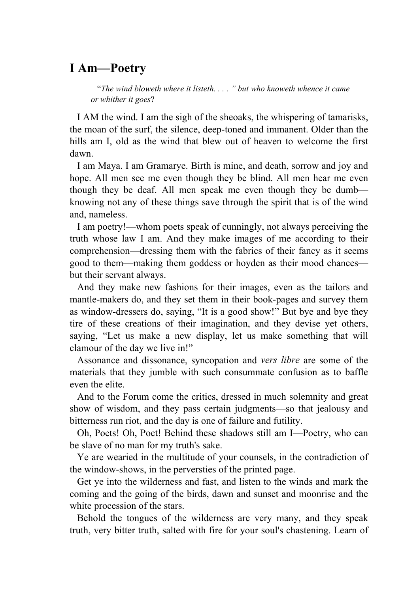### **I Am—Poetry**

 "*The wind bloweth where it listeth. . . . " but who knoweth whence it came or whither it goes*?

 I AM the wind. I am the sigh of the sheoaks, the whispering of tamarisks, the moan of the surf, the silence, deep-toned and immanent. Older than the hills am I, old as the wind that blew out of heaven to welcome the first dawn.

 I am Maya. I am Gramarye. Birth is mine, and death, sorrow and joy and hope. All men see me even though they be blind. All men hear me even though they be deaf. All men speak me even though they be dumb knowing not any of these things save through the spirit that is of the wind and, nameless.

 I am poetry!—whom poets speak of cunningly, not always perceiving the truth whose law I am. And they make images of me according to their comprehension—dressing them with the fabrics of their fancy as it seems good to them—making them goddess or hoyden as their mood chances but their servant always.

 And they make new fashions for their images, even as the tailors and mantle-makers do, and they set them in their book-pages and survey them as window-dressers do, saying, "It is a good show!" But bye and bye they tire of these creations of their imagination, and they devise yet others, saying, "Let us make a new display, let us make something that will clamour of the day we live in!"

 Assonance and dissonance, syncopation and *vers libre* are some of the materials that they jumble with such consummate confusion as to baffle even the elite.

 And to the Forum come the critics, dressed in much solemnity and great show of wisdom, and they pass certain judgments—so that jealousy and bitterness run riot, and the day is one of failure and futility.

 Oh, Poets! Oh, Poet! Behind these shadows still am I—Poetry, who can be slave of no man for my truth's sake.

 Ye are wearied in the multitude of your counsels, in the contradiction of the window-shows, in the perversties of the printed page.

 Get ye into the wilderness and fast, and listen to the winds and mark the coming and the going of the birds, dawn and sunset and moonrise and the white procession of the stars.

 Behold the tongues of the wilderness are very many, and they speak truth, very bitter truth, salted with fire for your soul's chastening. Learn of